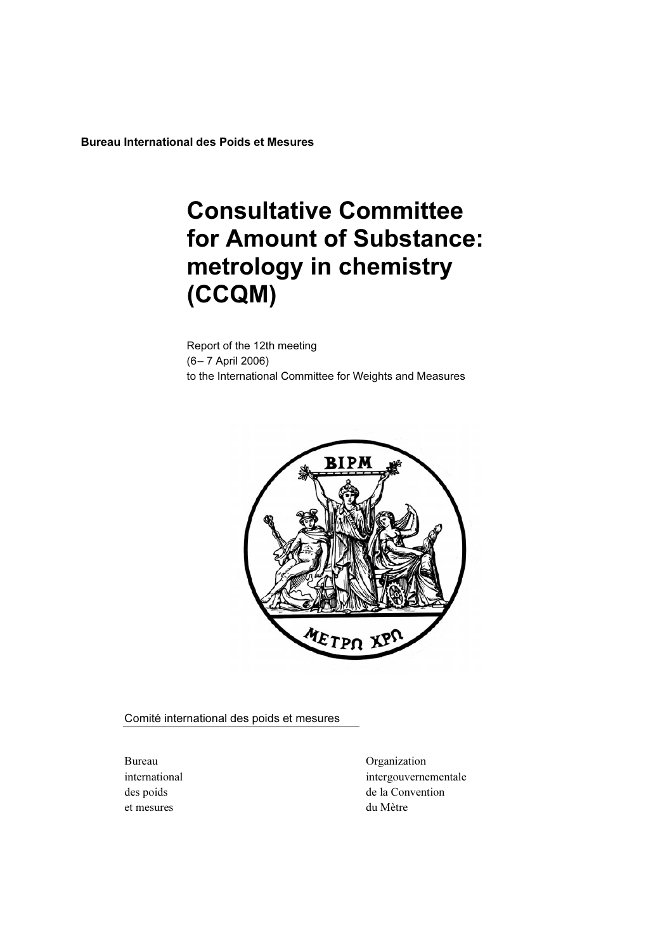Bureau International des Poids et Mesures

# **Consultative Committee<br>for Amount of Substance:** metrology in chemistry metrology in chemistry  $\sqrt{2}$

Report of the 12th meeting (6– 7 April 2006) to the International Committee for Weights and Measures



Comité international des poids et mesures

et mesures du Mètre

Bureau Organization international intergouvernementale des poids de la Convention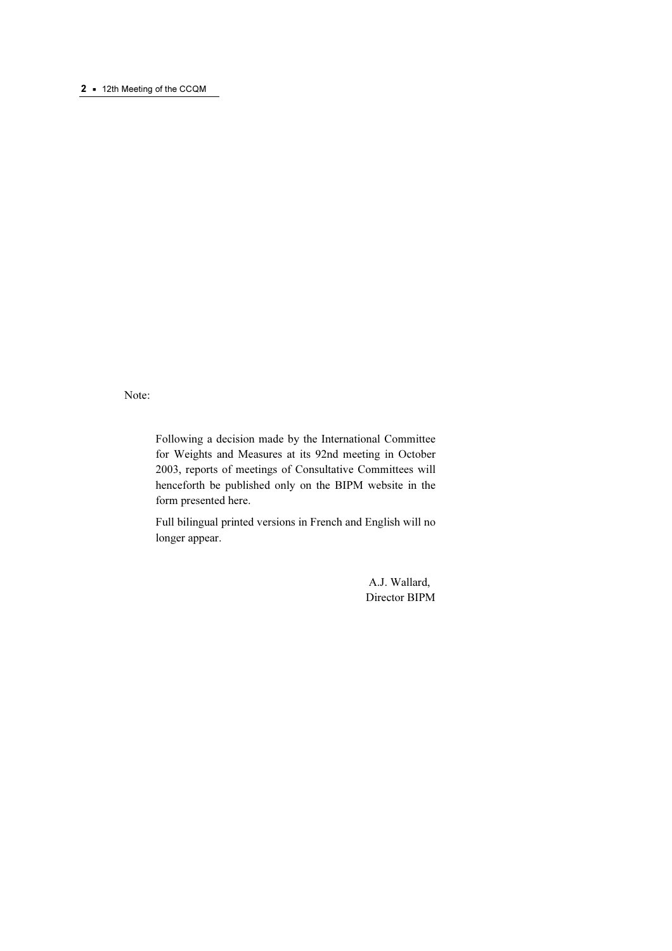#### 2 • 12th Meeting of the CCQM

Note:

Following a decision made by the International Committee for Weights and Measures at its 92nd meeting in October 2003, reports of meetings of Consultative Committees will henceforth be published only on the BIPM website in the form presented here.

Full bilingual printed versions in French and English will no longer appear.

> A.J. Wallard, Director BIPM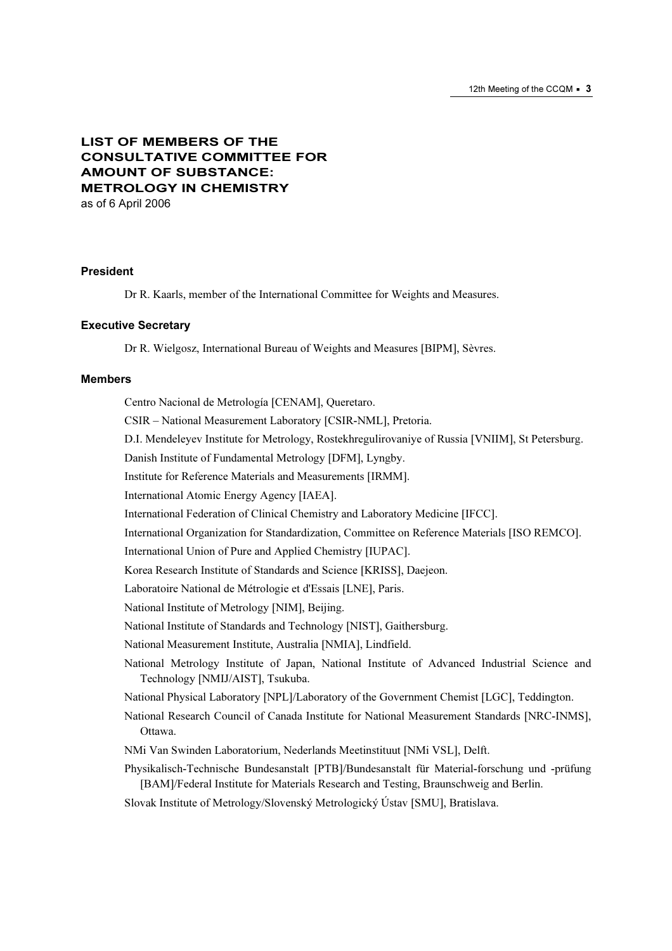## LIST OF MEMBERS OF THE CONSULTATIVE COMMITTEE FOR AMOUNT OF SUBSTANCE: METROLOGY IN CHEMISTRY

as of 6 April 2006

#### President

Dr R. Kaarls, member of the International Committee for Weights and Measures.

#### Executive Secretary

Dr R. Wielgosz, International Bureau of Weights and Measures [BIPM], Sèvres.

#### Members

Centro Nacional de Metrología [CENAM], Queretaro. CSIR – National Measurement Laboratory [CSIR-NML], Pretoria. D.I. Mendeleyev Institute for Metrology, Rostekhregulirovaniye of Russia [VNIIM], St Petersburg. Danish Institute of Fundamental Metrology [DFM], Lyngby. Institute for Reference Materials and Measurements [IRMM]. International Atomic Energy Agency [IAEA]. International Federation of Clinical Chemistry and Laboratory Medicine [IFCC]. International Organization for Standardization, Committee on Reference Materials [ISO REMCO]. International Union of Pure and Applied Chemistry [IUPAC]. Korea Research Institute of Standards and Science [KRISS], Daejeon. Laboratoire National de Métrologie et d'Essais [LNE], Paris. National Institute of Metrology [NIM], Beijing. National Institute of Standards and Technology [NIST], Gaithersburg. National Measurement Institute, Australia [NMIA], Lindfield. National Metrology Institute of Japan, National Institute of Advanced Industrial Science and Technology [NMIJ/AIST], Tsukuba. National Physical Laboratory [NPL]/Laboratory of the Government Chemist [LGC], Teddington. National Research Council of Canada Institute for National Measurement Standards [NRC-INMS], Ottawa. NMi Van Swinden Laboratorium, Nederlands Meetinstituut [NMi VSL], Delft. Physikalisch-Technische Bundesanstalt [PTB]/Bundesanstalt für Material-forschung und -prüfung [BAM]/Federal Institute for Materials Research and Testing, Braunschweig and Berlin. Slovak Institute of Metrology/Slovenský Metrologický Ústav [SMU], Bratislava.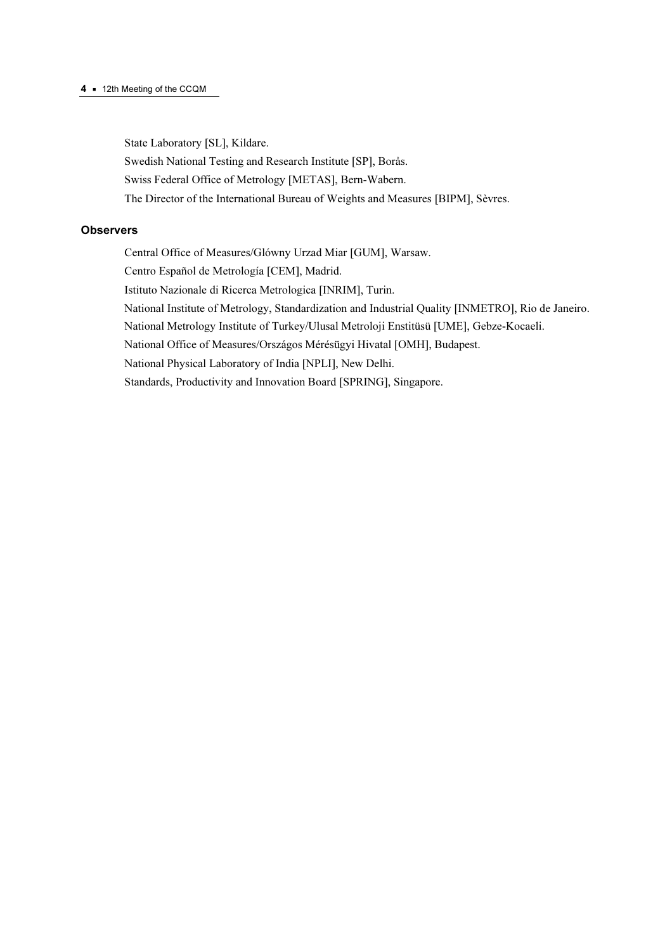#### 4 • 12th Meeting of the CCQM

State Laboratory [SL], Kildare.

Swedish National Testing and Research Institute [SP], Borås.

Swiss Federal Office of Metrology [METAS], Bern-Wabern.

The Director of the International Bureau of Weights and Measures [BIPM], Sèvres.

## **Observers**

Central Office of Measures/Glόwny Urzad Miar [GUM], Warsaw. Centro Español de Metrología [CEM], Madrid. Istituto Nazionale di Ricerca Metrologica [INRIM], Turin. National Institute of Metrology, Standardization and Industrial Quality [INMETRO], Rio de Janeiro. National Metrology Institute of Turkey/Ulusal Metroloji Enstitüsü [UME], Gebze-Kocaeli. National Office of Measures/Országos Mérésügyi Hivatal [OMH], Budapest. National Physical Laboratory of India [NPLI], New Delhi. Standards, Productivity and Innovation Board [SPRING], Singapore.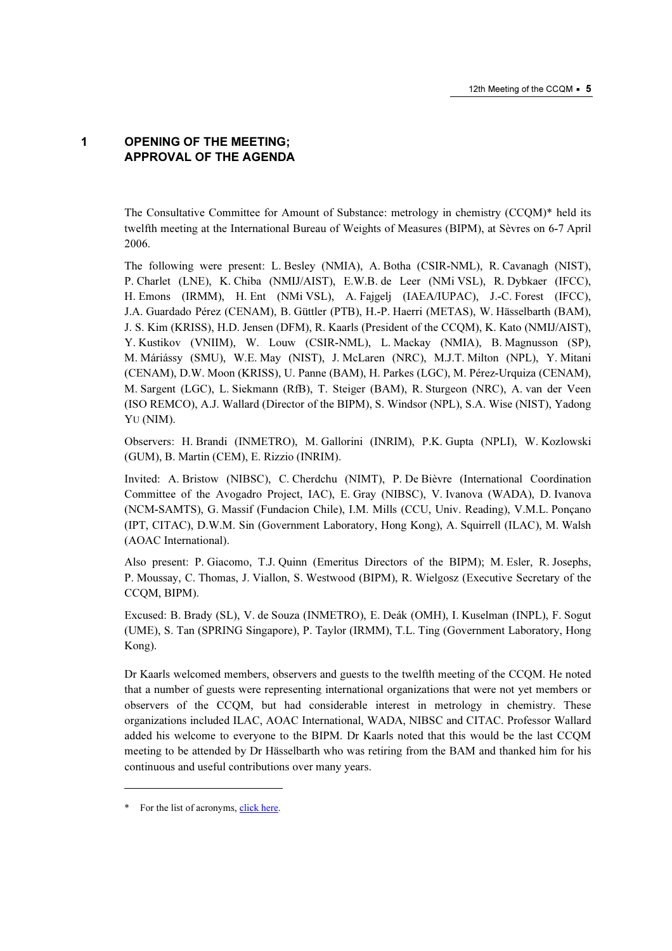## 1 OPENING OF THE MEETING; APPROVAL OF THE AGENDA

The Consultative Committee for Amount of Substance: metrology in chemistry (CCQM)\* held its twelfth meeting at the International Bureau of Weights of Measures (BIPM), at Sèvres on 6-7 April 2006.

The following were present: L. Besley (NMIA), A. Botha (CSIR-NML), R. Cavanagh (NIST), P. Charlet (LNE), K. Chiba (NMIJ/AIST), E.W.B. de Leer (NMi VSL), R. Dybkaer (IFCC), H. Emons (IRMM), H. Ent (NMi VSL), A. Fajgelj (IAEA/IUPAC), J.-C. Forest (IFCC), J.A. Guardado Pérez (CENAM), B. Güttler (PTB), H.-P. Haerri (METAS), W. Hässelbarth (BAM), J. S. Kim (KRISS), H.D. Jensen (DFM), R. Kaarls (President of the CCQM), K. Kato (NMIJ/AIST), Y. Kustikov (VNIIM), W. Louw (CSIR-NML), L. Mackay (NMIA), B. Magnusson (SP), M. Máriássy (SMU), W.E. May (NIST), J. McLaren (NRC), M.J.T. Milton (NPL), Y. Mitani (CENAM), D.W. Moon (KRISS), U. Panne (BAM), H. Parkes (LGC), M. Pérez-Urquiza (CENAM), M. Sargent (LGC), L. Siekmann (RfB), T. Steiger (BAM), R. Sturgeon (NRC), A. van der Veen (ISO REMCO), A.J. Wallard (Director of the BIPM), S. Windsor (NPL), S.A. Wise (NIST), Yadong Y*U* (NIM).

Observers: H. Brandi (INMETRO), M. Gallorini (INRIM), P.K. Gupta (NPLI), W. Kozlowski (GUM), B. Martin (CEM), E. Rizzio (INRIM).

Invited: A. Bristow (NIBSC), C. Cherdchu (NIMT), P. De Bièvre (International Coordination Committee of the Avogadro Project, IAC), E. Gray (NIBSC), V. Ivanova (WADA), D. Ivanova (NCM-SAMTS), G. Massif (Fundacion Chile), I.M. Mills (CCU, Univ. Reading), V.M.L. Ponçano (IPT, CITAC), D.W.M. Sin (Government Laboratory, Hong Kong), A. Squirrell (ILAC), M. Walsh (AOAC International).

Also present: P. Giacomo, T.J. Quinn (Emeritus Directors of the BIPM); M. Esler, R. Josephs, P. Moussay, C. Thomas, J. Viallon, S. Westwood (BIPM), R. Wielgosz (Executive Secretary of the CCQM, BIPM).

Excused: B. Brady (SL), V. de Souza (INMETRO), E. Deák (OMH), I. Kuselman (INPL), F. Sogut (UME), S. Tan (SPRING Singapore), P. Taylor (IRMM), T.L. Ting (Government Laboratory, Hong Kong).

Dr Kaarls welcomed members, observers and guests to the twelfth meeting of the CCQM. He noted that a number of guests were representing international organizations that were not yet members or observers of the CCQM, but had considerable interest in metrology in chemistry. These organizations included ILAC, AOAC International, WADA, NIBSC and CITAC. Professor Wallard added his welcome to everyone to the BIPM. Dr Kaarls noted that this would be the last CCQM meeting to be attended by Dr Hässelbarth who was retiring from the BAM and thanked him for his continuous and useful contributions over many years.

-

<sup>\*</sup> For the list of acrony[ms, click here.](https://www.bipm.org/en/practical_info/acronyms.html)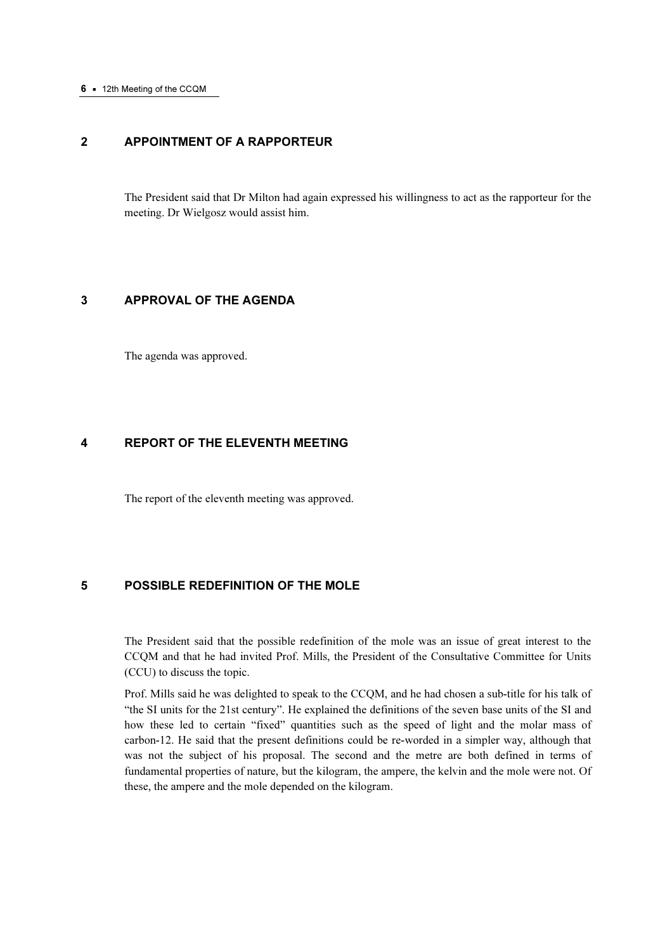## 2 APPOINTMENT OF A RAPPORTEUR

The President said that Dr Milton had again expressed his willingness to act as the rapporteur for the meeting. Dr Wielgosz would assist him.

## 3 APPROVAL OF THE AGENDA

The agenda was approved.

## 4 REPORT OF THE ELEVENTH MEETING

The report of the eleventh meeting was approved.

## 5 POSSIBLE REDEFINITION OF THE MOLE

The President said that the possible redefinition of the mole was an issue of great interest to the CCQM and that he had invited Prof. Mills, the President of the Consultative Committee for Units (CCU) to discuss the topic.

Prof. Mills said he was delighted to speak to the CCQM, and he had chosen a sub-title for his talk of "the SI units for the 21st century". He explained the definitions of the seven base units of the SI and how these led to certain "fixed" quantities such as the speed of light and the molar mass of carbon-12. He said that the present definitions could be re-worded in a simpler way, although that was not the subject of his proposal. The second and the metre are both defined in terms of fundamental properties of nature, but the kilogram, the ampere, the kelvin and the mole were not. Of these, the ampere and the mole depended on the kilogram.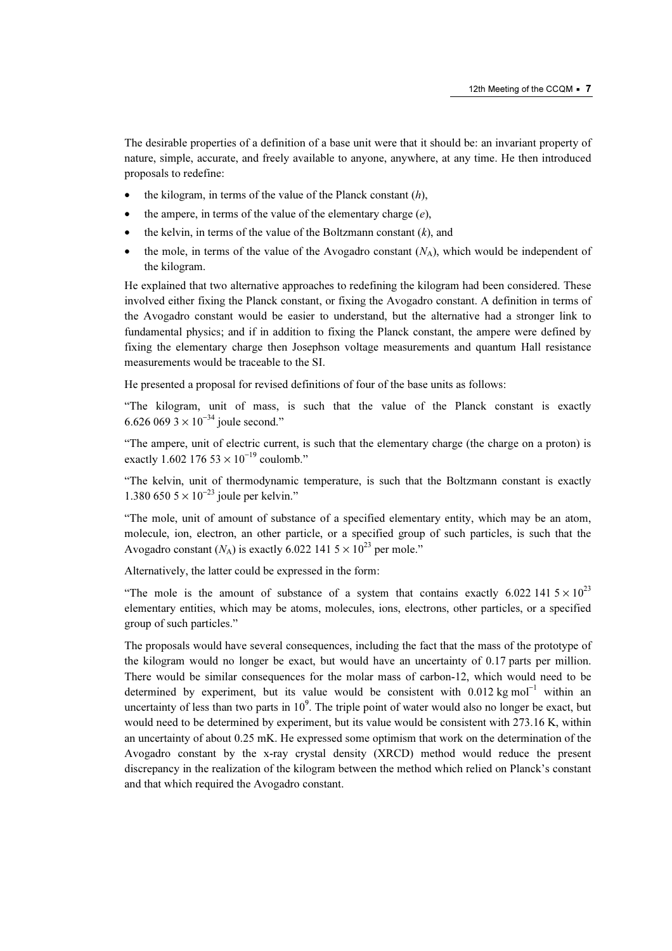The desirable properties of a definition of a base unit were that it should be: an invariant property of nature, simple, accurate, and freely available to anyone, anywhere, at any time. He then introduced proposals to redefine:

- the kilogram, in terms of the value of the Planck constant  $(h)$ ,
- the ampere, in terms of the value of the elementary charge  $(e)$ ,
- the kelvin, in terms of the value of the Boltzmann constant  $(k)$ , and
- the mole, in terms of the value of the Avogadro constant  $(N_A)$ , which would be independent of the kilogram.

He explained that two alternative approaches to redefining the kilogram had been considered. These involved either fixing the Planck constant, or fixing the Avogadro constant. A definition in terms of the Avogadro constant would be easier to understand, but the alternative had a stronger link to fundamental physics; and if in addition to fixing the Planck constant, the ampere were defined by fixing the elementary charge then Josephson voltage measurements and quantum Hall resistance measurements would be traceable to the SI.

He presented a proposal for revised definitions of four of the base units as follows:

"The kilogram, unit of mass, is such that the value of the Planck constant is exactly 6.626 069 3  $\times$  10<sup>-34</sup> joule second."

"The ampere, unit of electric current, is such that the elementary charge (the charge on a proton) is exactly 1.602 176 53  $\times$  10<sup>-19</sup> coulomb."

"The kelvin, unit of thermodynamic temperature, is such that the Boltzmann constant is exactly 1.380 650  $5 \times 10^{-23}$  joule per kelvin."

"The mole, unit of amount of substance of a specified elementary entity, which may be an atom, molecule, ion, electron, an other particle, or a specified group of such particles, is such that the Avogadro constant  $(N_A)$  is exactly 6.022 141 5  $\times$  10<sup>23</sup> per mole."

Alternatively, the latter could be expressed in the form:

"The mole is the amount of substance of a system that contains exactly 6.022 141  $5 \times 10^{23}$ elementary entities, which may be atoms, molecules, ions, electrons, other particles, or a specified group of such particles."

The proposals would have several consequences, including the fact that the mass of the prototype of the kilogram would no longer be exact, but would have an uncertainty of 0.17 parts per million. There would be similar consequences for the molar mass of carbon-12, which would need to be determined by experiment, but its value would be consistent with 0.012 kg mol<sup>-1</sup> within an uncertainty of less than two parts in  $10<sup>9</sup>$ . The triple point of water would also no longer be exact, but would need to be determined by experiment, but its value would be consistent with 273.16 K, within an uncertainty of about 0.25 mK. He expressed some optimism that work on the determination of the Avogadro constant by the x-ray crystal density (XRCD) method would reduce the present discrepancy in the realization of the kilogram between the method which relied on Planck's constant and that which required the Avogadro constant.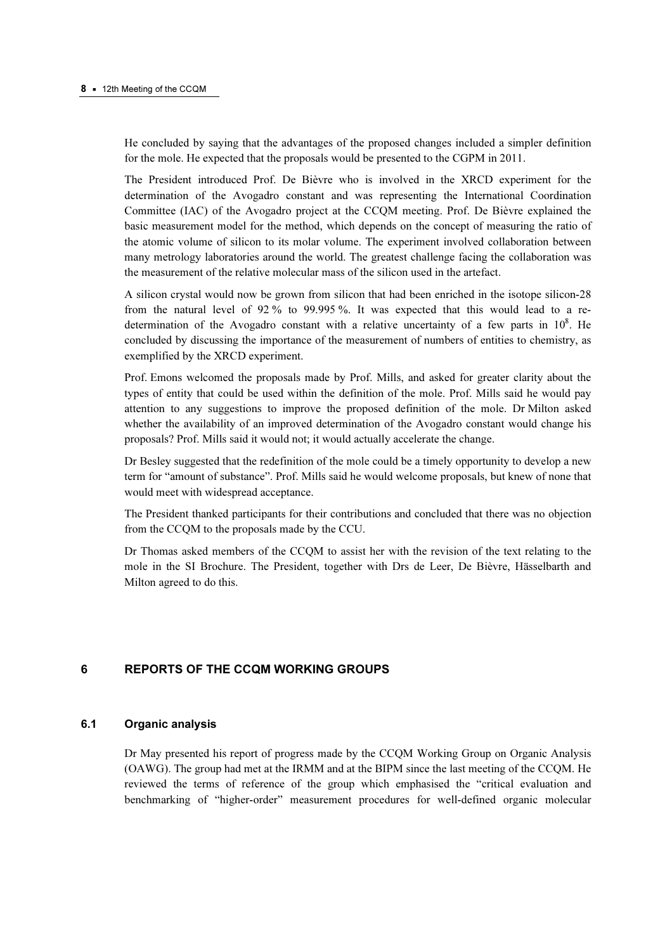He concluded by saying that the advantages of the proposed changes included a simpler definition for the mole. He expected that the proposals would be presented to the CGPM in 2011.

The President introduced Prof. De Bièvre who is involved in the XRCD experiment for the determination of the Avogadro constant and was representing the International Coordination Committee (IAC) of the Avogadro project at the CCQM meeting. Prof. De Bièvre explained the basic measurement model for the method, which depends on the concept of measuring the ratio of the atomic volume of silicon to its molar volume. The experiment involved collaboration between many metrology laboratories around the world. The greatest challenge facing the collaboration was the measurement of the relative molecular mass of the silicon used in the artefact.

A silicon crystal would now be grown from silicon that had been enriched in the isotope silicon-28 from the natural level of 92 % to 99.995 %. It was expected that this would lead to a redetermination of the Avogadro constant with a relative uncertainty of a few parts in  $10^8$ . He concluded by discussing the importance of the measurement of numbers of entities to chemistry, as exemplified by the XRCD experiment.

Prof. Emons welcomed the proposals made by Prof. Mills, and asked for greater clarity about the types of entity that could be used within the definition of the mole. Prof. Mills said he would pay attention to any suggestions to improve the proposed definition of the mole. Dr Milton asked whether the availability of an improved determination of the Avogadro constant would change his proposals? Prof. Mills said it would not; it would actually accelerate the change.

Dr Besley suggested that the redefinition of the mole could be a timely opportunity to develop a new term for "amount of substance". Prof. Mills said he would welcome proposals, but knew of none that would meet with widespread acceptance.

The President thanked participants for their contributions and concluded that there was no objection from the CCQM to the proposals made by the CCU.

Dr Thomas asked members of the CCQM to assist her with the revision of the text relating to the mole in the SI Brochure. The President, together with Drs de Leer, De Bièvre, Hässelbarth and Milton agreed to do this.

## 6 REPORTS OF THE CCQM WORKING GROUPS

## 6.1 Organic analysis

Dr May presented his report of progress made by the CCQM Working Group on Organic Analysis (OAWG). The group had met at the IRMM and at the BIPM since the last meeting of the CCQM. He reviewed the terms of reference of the group which emphasised the "critical evaluation and benchmarking of "higher-order" measurement procedures for well-defined organic molecular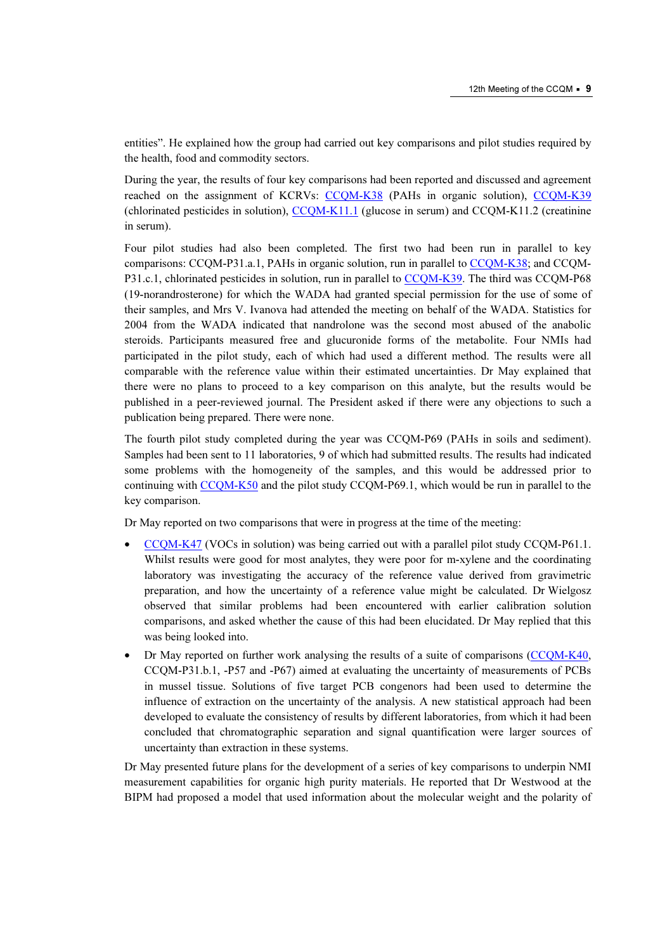entities". He explained how the group had carried out key comparisons and pilot studies required by the health, food and commodity sectors.

During the year, the results of four key comparisons had been reported and discu[ssed and agreement](http://kcdb.bipm.org/AppendixB/KCDB_ApB_search_result.asp?search=2&cmp_cod_search=CCQM-K39&match_exact=0)  reached on the assignment of K[CRVs: CCQM-K38 \(PA](http://kcdb.bipm.org/AppendixB/KCDB_ApB_search_result.asp?search=2&cmp_cod_search=CCQM-K38&match_exact=0)Hs in organic solution), CCQM-K39 (chlorinated pesticides in solutio[n\), CCQM-K11.1 \(gl](http://kcdb.bipm.org/AppendixB/KCDB_ApB_search_result.asp?search=2&cmp_cod_search=CCQM-K11.1&match_exact=0)ucose in serum) and CCQM-K11.2 (creatinine in serum).

Four pilot studies had also been completed. The first two had been run in parallel to key comparisons: CCQM-P31.a.1, PAHs in organic solution, run in parall[el to CCQM-K38; and C](http://kcdb.bipm.org/AppendixB/KCDB_ApB_search_result.asp?search=2&cmp_cod_search=CCQM-K38&match_exact=0)CQM-P31.c.1, chlorinated pesticides in solution, run in paralle[l to CCQM-K39. The t](http://kcdb.bipm.org/AppendixB/KCDB_ApB_search_result.asp?search=2&cmp_cod_search=CCQM-K39&match_exact=0)hird was CCQM-P68 (19-norandrosterone) for which the WADA had granted special permission for the use of some of their samples, and Mrs V. Ivanova had attended the meeting on behalf of the WADA. Statistics for 2004 from the WADA indicated that nandrolone was the second most abused of the anabolic steroids. Participants measured free and glucuronide forms of the metabolite. Four NMIs had participated in the pilot study, each of which had used a different method. The results were all comparable with the reference value within their estimated uncertainties. Dr May explained that there were no plans to proceed to a key comparison on this analyte, but the results would be published in a peer-reviewed journal. The President asked if there were any objections to such a publication being prepared. There were none.

The fourth pilot study completed during the year was CCQM-P69 (PAHs in soils and sediment). Samples had been sent to 11 laboratories, 9 of which had submitted results. The results had indicated some problems with the homogeneity of the samples, and this would be addressed prior to continuing [with CCQM-K50 and](http://kcdb.bipm.org/AppendixB/KCDB_ApB_search_result.asp?search=2&cmp_cod_search=CCQM-K50&match_exact=0) the pilot study CCQM-P69.1, which would be run in parallel to the key comparison.

Dr May reported on two comparisons that were in progress at the time of the meeting:

- [CCQM-K47 \(VO](http://kcdb.bipm.org/AppendixB/KCDB_ApB_search_result.asp?search=2&cmp_cod_search=CCQM-K47&match_exact=0)Cs in solution) was being carried out with a parallel pilot study CCQM-P61.1. Whilst results were good for most analytes, they were poor for m-xylene and the coordinating laboratory was investigating the accuracy of the reference value derived from gravimetric preparation, and how the uncertainty of a reference value might be calculated. Dr Wielgosz observed that similar problems had been encountered with earlier calibration solution comparisons, and asked whether the cause of this had been elucidated. Dr May replied that this was being looked into.
- Dr May reported on further work analysing the results of a suite of compa[risons \(CCQM-K40,](http://kcdb.bipm.org/AppendixB/KCDB_ApB_search_result.asp?search=2&cmp_cod_search=CCQM-K40&match_exact=0)  CCQM-P31.b.1, -P57 and -P67) aimed at evaluating the uncertainty of measurements of PCBs in mussel tissue. Solutions of five target PCB congenors had been used to determine the influence of extraction on the uncertainty of the analysis. A new statistical approach had been developed to evaluate the consistency of results by different laboratories, from which it had been concluded that chromatographic separation and signal quantification were larger sources of uncertainty than extraction in these systems.

Dr May presented future plans for the development of a series of key comparisons to underpin NMI measurement capabilities for organic high purity materials. He reported that Dr Westwood at the BIPM had proposed a model that used information about the molecular weight and the polarity of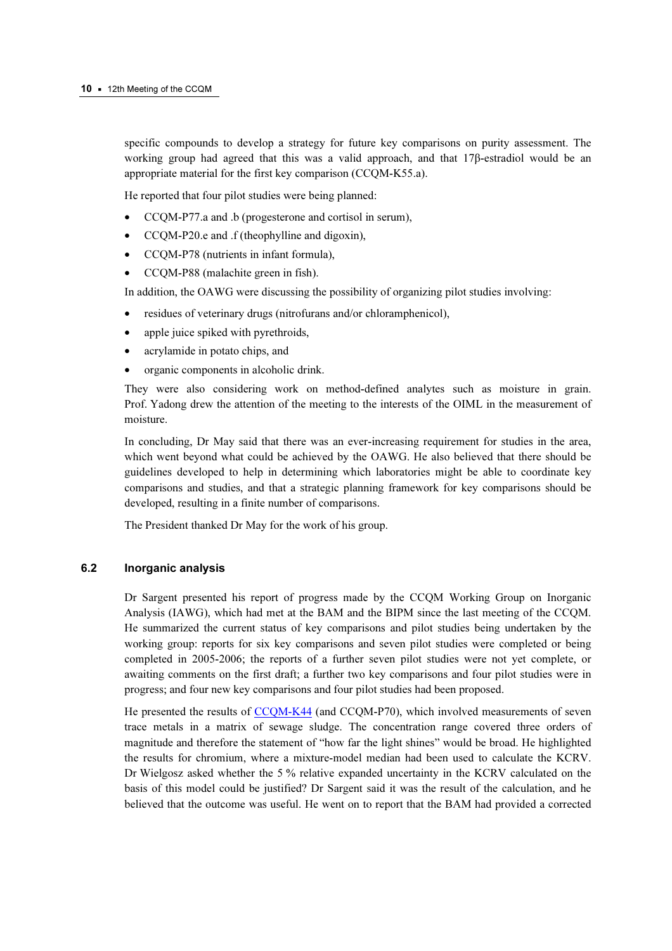specific compounds to develop a strategy for future key comparisons on purity assessment. The working group had agreed that this was a valid approach, and that 17β-estradiol would be an appropriate material for the first key comparison (CCQM-K55.a).

He reported that four pilot studies were being planned:

- CCQM-P77.a and .b (progesterone and cortisol in serum),
- CCQM-P20.e and .f (theophylline and digoxin),
- CCQM-P78 (nutrients in infant formula),
- CCQM-P88 (malachite green in fish).

In addition, the OAWG were discussing the possibility of organizing pilot studies involving:

- residues of veterinary drugs (nitrofurans and/or chloramphenicol),
- apple juice spiked with pyrethroids,
- acrylamide in potato chips, and
- organic components in alcoholic drink.

They were also considering work on method-defined analytes such as moisture in grain. Prof. Yadong drew the attention of the meeting to the interests of the OIML in the measurement of moisture.

In concluding, Dr May said that there was an ever-increasing requirement for studies in the area, which went beyond what could be achieved by the OAWG. He also believed that there should be guidelines developed to help in determining which laboratories might be able to coordinate key comparisons and studies, and that a strategic planning framework for key comparisons should be developed, resulting in a finite number of comparisons.

The President thanked Dr May for the work of his group.

#### 6.2 Inorganic analysis

Dr Sargent presented his report of progress made by the CCQM Working Group on Inorganic Analysis (IAWG), which had met at the BAM and the BIPM since the last meeting of the CCQM. He summarized the current status of key comparisons and pilot studies being undertaken by the working group: reports for six key comparisons and seven pilot studies were completed or being completed in 2005-2006; the reports of a further seven pilot studies were not yet complete, or awaiting comments on the first draft; a further two key comparisons and four pilot studies were in progress; and four new key comparisons and four pilot studies had been proposed.

He presented the resul[ts of CCQM-K44 \(and C](http://kcdb.bipm.org/AppendixB/KCDB_ApB_search_result.asp?search=2&cmp_cod_search=CCQM-K44&match_exact=0)CQM-P70), which involved measurements of seven trace metals in a matrix of sewage sludge. The concentration range covered three orders of magnitude and therefore the statement of "how far the light shines" would be broad. He highlighted the results for chromium, where a mixture-model median had been used to calculate the KCRV. Dr Wielgosz asked whether the 5 % relative expanded uncertainty in the KCRV calculated on the basis of this model could be justified? Dr Sargent said it was the result of the calculation, and he believed that the outcome was useful. He went on to report that the BAM had provided a corrected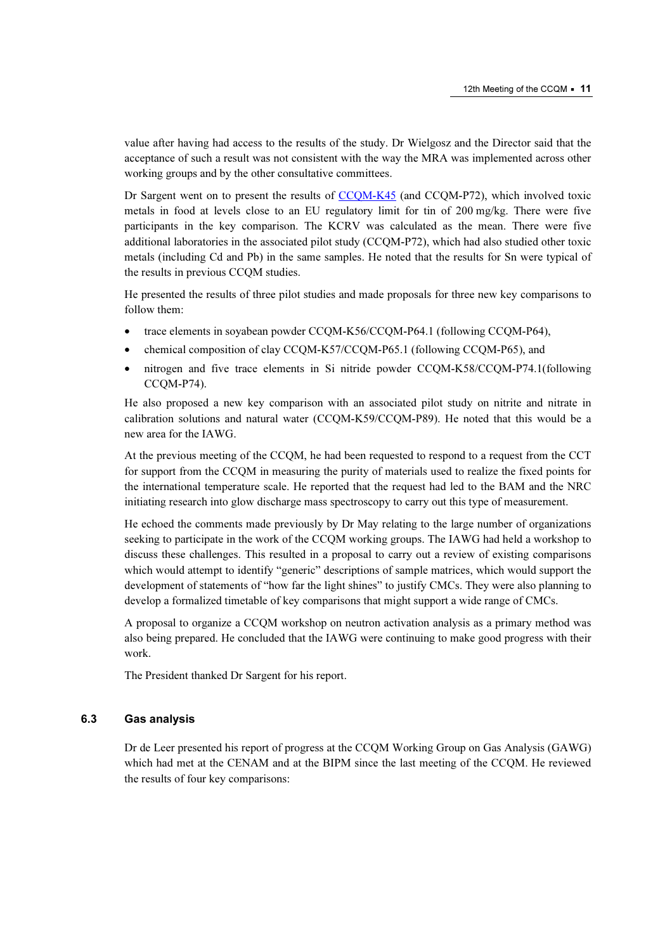value after having had access to the results of the study. Dr Wielgosz and the Director said that the acceptance of such a result was not consistent with the way the MRA was implemented across other working groups and by the other consultative committees.

Dr Sargent went on to present the result[s of CCQM-K45 \(and](http://kcdb.bipm.org/AppendixB/KCDB_ApB_search_result.asp?search=2&cmp_cod_search=CCQM-K45&match_exact=0) CCQM-P72), which involved toxic metals in food at levels close to an EU regulatory limit for tin of 200 mg/kg. There were five participants in the key comparison. The KCRV was calculated as the mean. There were five additional laboratories in the associated pilot study (CCQM-P72), which had also studied other toxic metals (including Cd and Pb) in the same samples. He noted that the results for Sn were typical of the results in previous CCQM studies.

He presented the results of three pilot studies and made proposals for three new key comparisons to follow them:

- trace elements in soyabean powder CCQM-K56/CCQM-P64.1 (following CCQM-P64),
- chemical composition of clay CCQM-K57/CCQM-P65.1 (following CCQM-P65), and
- nitrogen and five trace elements in Si nitride powder CCQM-K58/CCQM-P74.1(following CCQM-P74).

He also proposed a new key comparison with an associated pilot study on nitrite and nitrate in calibration solutions and natural water (CCQM-K59/CCQM-P89). He noted that this would be a new area for the IAWG.

At the previous meeting of the CCQM, he had been requested to respond to a request from the CCT for support from the CCQM in measuring the purity of materials used to realize the fixed points for the international temperature scale. He reported that the request had led to the BAM and the NRC initiating research into glow discharge mass spectroscopy to carry out this type of measurement.

He echoed the comments made previously by Dr May relating to the large number of organizations seeking to participate in the work of the CCQM working groups. The IAWG had held a workshop to discuss these challenges. This resulted in a proposal to carry out a review of existing comparisons which would attempt to identify "generic" descriptions of sample matrices, which would support the development of statements of "how far the light shines" to justify CMCs. They were also planning to develop a formalized timetable of key comparisons that might support a wide range of CMCs.

A proposal to organize a CCQM workshop on neutron activation analysis as a primary method was also being prepared. He concluded that the IAWG were continuing to make good progress with their work.

The President thanked Dr Sargent for his report.

#### 6.3 Gas analysis

Dr de Leer presented his report of progress at the CCQM Working Group on Gas Analysis (GAWG) which had met at the CENAM and at the BIPM since the last meeting of the CCQM. He reviewed the results of four key comparisons: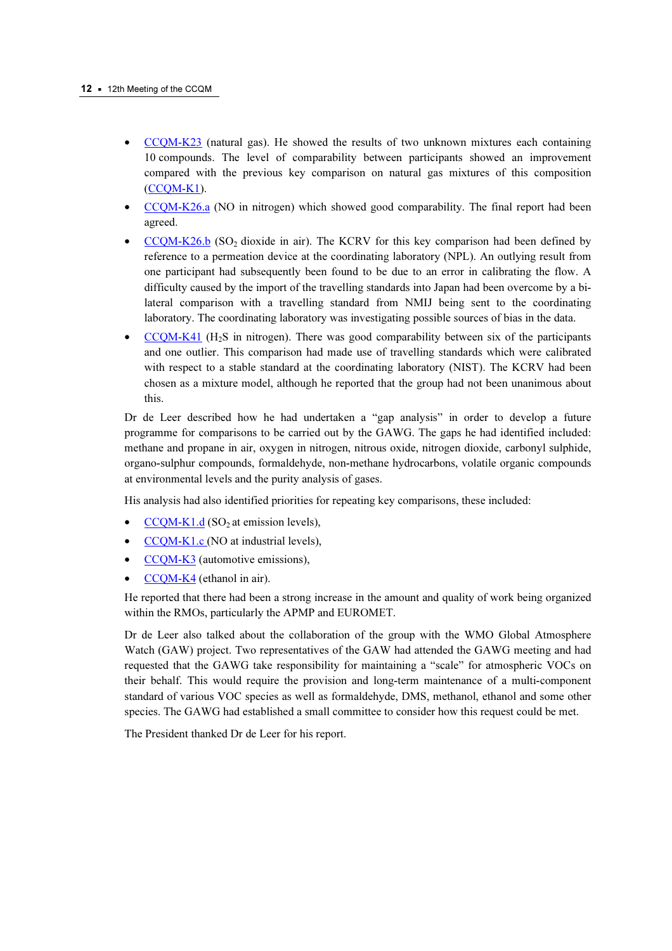- [CCQM-K23 \(natu](http://kcdb.bipm.org/AppendixB/KCDB_ApB_search_result.asp?search=2&cmp_cod_search=CCQM-K23&match_exact=0)ral gas). He showed the results of two unknown mixtures each containing 10 compounds. The level of comparability between participants showed an improvement compared with the previous key comparison on natural gas mixtures of this composition [\(CCQM-K1\).](http://kcdb.bipm.org/AppendixB/KCDB_ApB_search_result.asp?search=2&cmp_cod_search=CCQM-K1&match_exact=0)
- [CCQM-K26.a \(NO](http://kcdb.bipm.org/AppendixB/KCDB_ApB_search_result.asp?search=2&cmp_cod_search=CCQM-K26.a&match_exact=0) in nitrogen) which showed good comparability. The final report had been agreed.
- $CCQM-K26.b$  (SO<sub>2</sub> dioxide in air). The KCRV for this key comparison had been defined by reference to a permeation device at the coordinating laboratory (NPL). An outlying result from one participant had subsequently been found to be due to an error in calibrating the flow. A difficulty caused by the import of the travelling standards into Japan had been overcome by a bilateral comparison with a travelling standard from NMIJ being sent to the coordinating laboratory. The coordinating laboratory was investigating possible sources of bias in the data.
- [CCQM-K41 \(H](http://kcdb.bipm.org/AppendixB/KCDB_ApB_search_result.asp?search=2&cmp_cod_search=CCQM-K41&match_exact=0)<sub>2</sub>S in nitrogen). There was good comparability between six of the participants and one outlier. This comparison had made use of travelling standards which were calibrated with respect to a stable standard at the coordinating laboratory (NIST). The KCRV had been chosen as a mixture model, although he reported that the group had not been unanimous about this.

Dr de Leer described how he had undertaken a "gap analysis" in order to develop a future programme for comparisons to be carried out by the GAWG. The gaps he had identified included: methane and propane in air, oxygen in nitrogen, nitrous oxide, nitrogen dioxide, carbonyl sulphide, organo-sulphur compounds, formaldehyde, non-methane hydrocarbons, volatile organic compounds at environmental levels and the purity analysis of gases.

His analysis had also identified priorities for repeating key comparisons, these included:

- $CCQM-K1.d$  (SO<sub>2</sub> at emission levels),
- [CCQM-K1.c \(NO a](http://kcdb.bipm.org/AppendixB/KCDB_ApB_search_result.asp?search=2&cmp_cod_search=CCQM-K1.c&match_exact=0)t industrial levels),
- [CCQM-K3 \(autom](http://kcdb.bipm.org/AppendixB/KCDB_ApB_search_result.asp?search=2&cmp_cod_search=CCQM-K3&match_exact=0)otive emissions),
- [CCQM-K4 \(ethanol in](http://kcdb.bipm.org/AppendixB/KCDB_ApB_search_result.asp?search=2&cmp_cod_search=CCQM-K4&match_exact=0) air).

He reported that there had been a strong increase in the amount and quality of work being organized within the RMOs, particularly the APMP and EUROMET.

Dr de Leer also talked about the collaboration of the group with the WMO Global Atmosphere Watch (GAW) project. Two representatives of the GAW had attended the GAWG meeting and had requested that the GAWG take responsibility for maintaining a "scale" for atmospheric VOCs on their behalf. This would require the provision and long-term maintenance of a multi-component standard of various VOC species as well as formaldehyde, DMS, methanol, ethanol and some other species. The GAWG had established a small committee to consider how this request could be met.

The President thanked Dr de Leer for his report.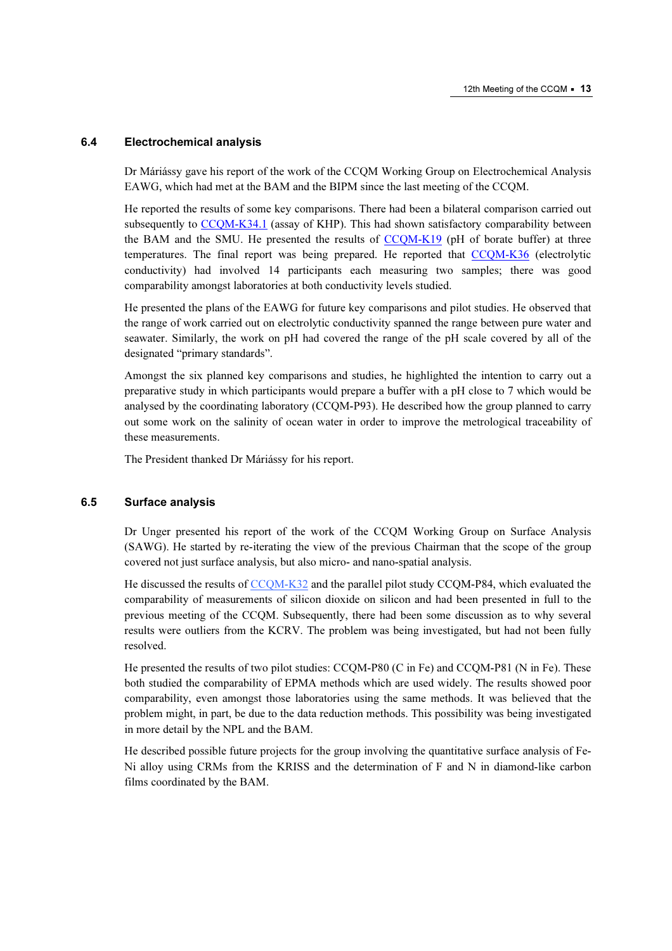#### 6.4 Electrochemical analysis

Dr Máriássy gave his report of the work of the CCQM Working Group on Electrochemical Analysis EAWG, which had met at the BAM and the BIPM since the last meeting of the CCQM.

He reported the results of some key comparisons. There had been a bilateral comparison carried out subsequent[ly to CCQM-K34.1 \(a](http://kcdb.bipm.org/AppendixB/KCDB_ApB_search_result.asp?search=2&cmp_cod_search=CCQM-K34.1&match_exact=0)ssay of KHP). This had shown satisfactory comparability between the BAM and the SMU. He presented the results of  $CCQM-K19$  (pH of borate buffer) at three temperatures. The final report was being prepared. He reported that [CCQM-K36 \(el](http://kcdb.bipm.org/AppendixB/KCDB_ApB_search_result.asp?search=2&cmp_cod_search=CCQM-K36&match_exact=0)ectrolytic conductivity) had involved 14 participants each measuring two samples; there was good comparability amongst laboratories at both conductivity levels studied.

He presented the plans of the EAWG for future key comparisons and pilot studies. He observed that the range of work carried out on electrolytic conductivity spanned the range between pure water and seawater. Similarly, the work on pH had covered the range of the pH scale covered by all of the designated "primary standards".

Amongst the six planned key comparisons and studies, he highlighted the intention to carry out a preparative study in which participants would prepare a buffer with a pH close to 7 which would be analysed by the coordinating laboratory (CCQM-P93). He described how the group planned to carry out some work on the salinity of ocean water in order to improve the metrological traceability of these measurements.

The President thanked Dr Máriássy for his report.

## 6.5 Surface analysis

Dr Unger presented his report of the work of the CCQM Working Group on Surface Analysis (SAWG). He started by re-iterating the view of the previous Chairman that the scope of the group covered not just surface analysis, but also micro- and nano-spatial analysis.

He discussed the resu[lts of CCQM-K32 and the](http://kcdb.bipm.org/AppendixB/KCDB_ApB_search_result.asp?search=2&cmp_cod_search=CCQM-K32&match_exact=0) parallel pilot study CCQM-P84, which evaluated the comparability of measurements of silicon dioxide on silicon and had been presented in full to the previous meeting of the CCQM. Subsequently, there had been some discussion as to why several results were outliers from the KCRV. The problem was being investigated, but had not been fully resolved.

He presented the results of two pilot studies: CCQM-P80 (C in Fe) and CCQM-P81 (N in Fe). These both studied the comparability of EPMA methods which are used widely. The results showed poor comparability, even amongst those laboratories using the same methods. It was believed that the problem might, in part, be due to the data reduction methods. This possibility was being investigated in more detail by the NPL and the BAM.

He described possible future projects for the group involving the quantitative surface analysis of Fe-Ni alloy using CRMs from the KRISS and the determination of F and N in diamond-like carbon films coordinated by the BAM.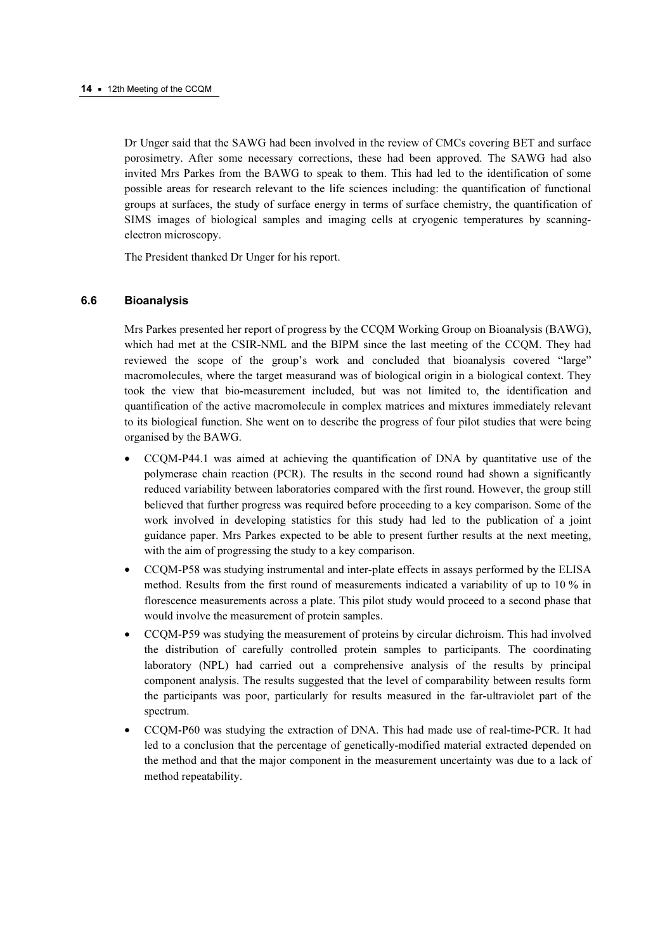Dr Unger said that the SAWG had been involved in the review of CMCs covering BET and surface porosimetry. After some necessary corrections, these had been approved. The SAWG had also invited Mrs Parkes from the BAWG to speak to them. This had led to the identification of some possible areas for research relevant to the life sciences including: the quantification of functional groups at surfaces, the study of surface energy in terms of surface chemistry, the quantification of SIMS images of biological samples and imaging cells at cryogenic temperatures by scanningelectron microscopy.

The President thanked Dr Unger for his report.

#### 6.6 Bioanalysis

Mrs Parkes presented her report of progress by the CCQM Working Group on Bioanalysis (BAWG), which had met at the CSIR-NML and the BIPM since the last meeting of the CCQM. They had reviewed the scope of the group's work and concluded that bioanalysis covered "large" macromolecules, where the target measurand was of biological origin in a biological context. They took the view that bio-measurement included, but was not limited to, the identification and quantification of the active macromolecule in complex matrices and mixtures immediately relevant to its biological function. She went on to describe the progress of four pilot studies that were being organised by the BAWG.

- CCQM-P44.1 was aimed at achieving the quantification of DNA by quantitative use of the polymerase chain reaction (PCR). The results in the second round had shown a significantly reduced variability between laboratories compared with the first round. However, the group still believed that further progress was required before proceeding to a key comparison. Some of the work involved in developing statistics for this study had led to the publication of a joint guidance paper. Mrs Parkes expected to be able to present further results at the next meeting, with the aim of progressing the study to a key comparison.
- CCQM-P58 was studying instrumental and inter-plate effects in assays performed by the ELISA method. Results from the first round of measurements indicated a variability of up to 10 % in florescence measurements across a plate. This pilot study would proceed to a second phase that would involve the measurement of protein samples.
- CCQM-P59 was studying the measurement of proteins by circular dichroism. This had involved the distribution of carefully controlled protein samples to participants. The coordinating laboratory (NPL) had carried out a comprehensive analysis of the results by principal component analysis. The results suggested that the level of comparability between results form the participants was poor, particularly for results measured in the far-ultraviolet part of the spectrum.
- CCQM-P60 was studying the extraction of DNA. This had made use of real-time-PCR. It had led to a conclusion that the percentage of genetically-modified material extracted depended on the method and that the major component in the measurement uncertainty was due to a lack of method repeatability.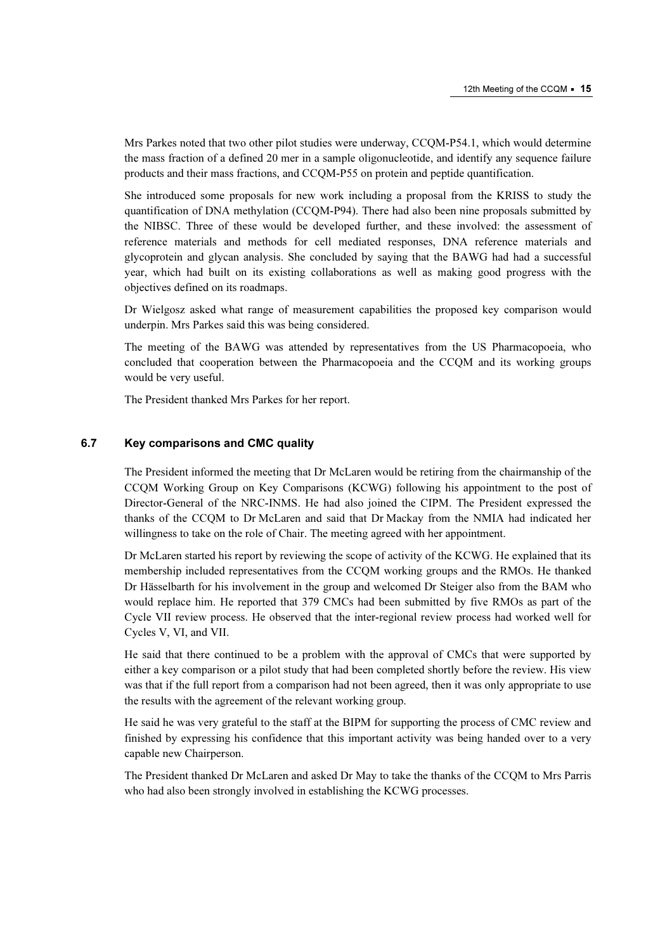Mrs Parkes noted that two other pilot studies were underway, CCQM-P54.1, which would determine the mass fraction of a defined 20 mer in a sample oligonucleotide, and identify any sequence failure products and their mass fractions, and CCQM-P55 on protein and peptide quantification.

She introduced some proposals for new work including a proposal from the KRISS to study the quantification of DNA methylation (CCQM-P94). There had also been nine proposals submitted by the NIBSC. Three of these would be developed further, and these involved: the assessment of reference materials and methods for cell mediated responses, DNA reference materials and glycoprotein and glycan analysis. She concluded by saying that the BAWG had had a successful year, which had built on its existing collaborations as well as making good progress with the objectives defined on its roadmaps.

Dr Wielgosz asked what range of measurement capabilities the proposed key comparison would underpin. Mrs Parkes said this was being considered.

The meeting of the BAWG was attended by representatives from the US Pharmacopoeia, who concluded that cooperation between the Pharmacopoeia and the CCQM and its working groups would be very useful.

The President thanked Mrs Parkes for her report.

## 6.7 Key comparisons and CMC quality

The President informed the meeting that Dr McLaren would be retiring from the chairmanship of the CCQM Working Group on Key Comparisons (KCWG) following his appointment to the post of Director-General of the NRC-INMS. He had also joined the CIPM. The President expressed the thanks of the CCQM to Dr McLaren and said that Dr Mackay from the NMIA had indicated her willingness to take on the role of Chair. The meeting agreed with her appointment.

Dr McLaren started his report by reviewing the scope of activity of the KCWG. He explained that its membership included representatives from the CCQM working groups and the RMOs. He thanked Dr Hässelbarth for his involvement in the group and welcomed Dr Steiger also from the BAM who would replace him. He reported that 379 CMCs had been submitted by five RMOs as part of the Cycle VII review process. He observed that the inter-regional review process had worked well for Cycles V, VI, and VII.

He said that there continued to be a problem with the approval of CMCs that were supported by either a key comparison or a pilot study that had been completed shortly before the review. His view was that if the full report from a comparison had not been agreed, then it was only appropriate to use the results with the agreement of the relevant working group.

He said he was very grateful to the staff at the BIPM for supporting the process of CMC review and finished by expressing his confidence that this important activity was being handed over to a very capable new Chairperson.

The President thanked Dr McLaren and asked Dr May to take the thanks of the CCQM to Mrs Parris who had also been strongly involved in establishing the KCWG processes.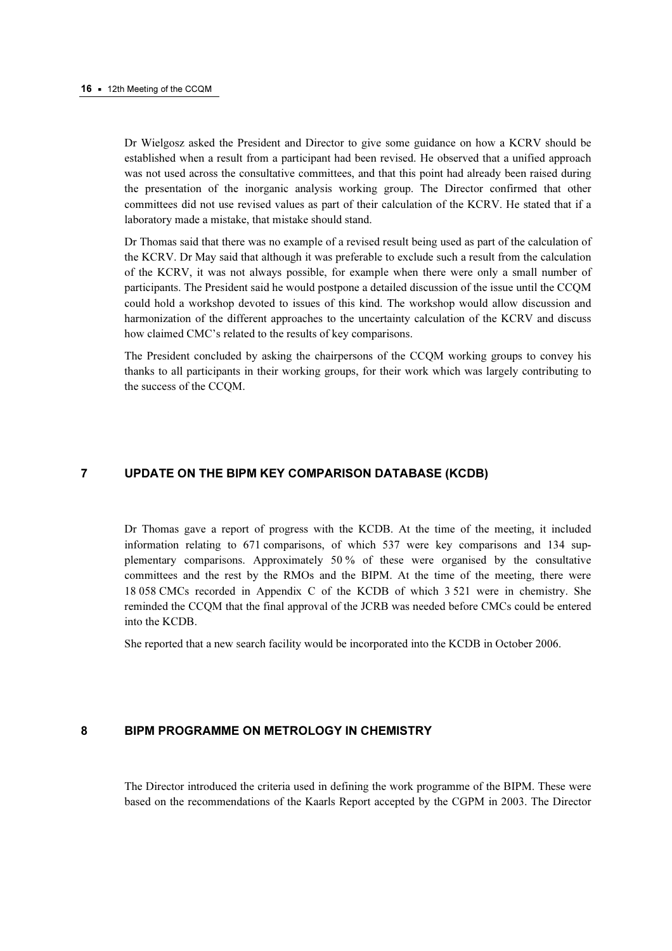Dr Wielgosz asked the President and Director to give some guidance on how a KCRV should be established when a result from a participant had been revised. He observed that a unified approach was not used across the consultative committees, and that this point had already been raised during the presentation of the inorganic analysis working group. The Director confirmed that other committees did not use revised values as part of their calculation of the KCRV. He stated that if a laboratory made a mistake, that mistake should stand.

Dr Thomas said that there was no example of a revised result being used as part of the calculation of the KCRV. Dr May said that although it was preferable to exclude such a result from the calculation of the KCRV, it was not always possible, for example when there were only a small number of participants. The President said he would postpone a detailed discussion of the issue until the CCQM could hold a workshop devoted to issues of this kind. The workshop would allow discussion and harmonization of the different approaches to the uncertainty calculation of the KCRV and discuss how claimed CMC's related to the results of key comparisons.

The President concluded by asking the chairpersons of the CCQM working groups to convey his thanks to all participants in their working groups, for their work which was largely contributing to the success of the CCQM.

## 7 UPDATE ON THE BIPM KEY COMPARISON DATABASE (KCDB)

Dr Thomas gave a report of progress with the KCDB. At the time of the meeting, it included information relating to 671 comparisons, of which 537 were key comparisons and 134 supplementary comparisons. Approximately 50 % of these were organised by the consultative committees and the rest by the RMOs and the BIPM. At the time of the meeting, there were 18 058 CMCs recorded in Appendix C of the KCDB of which 3 521 were in chemistry. She reminded the CCQM that the final approval of the JCRB was needed before CMCs could be entered into the KCDB.

She reported that a new search facility would be incorporated into the KCDB in October 2006.

## 8 BIPM PROGRAMME ON METROLOGY IN CHEMISTRY

The Director introduced the criteria used in defining the work programme of the BIPM. These were based on the recommendations of the Kaarls Report accepted by the CGPM in 2003. The Director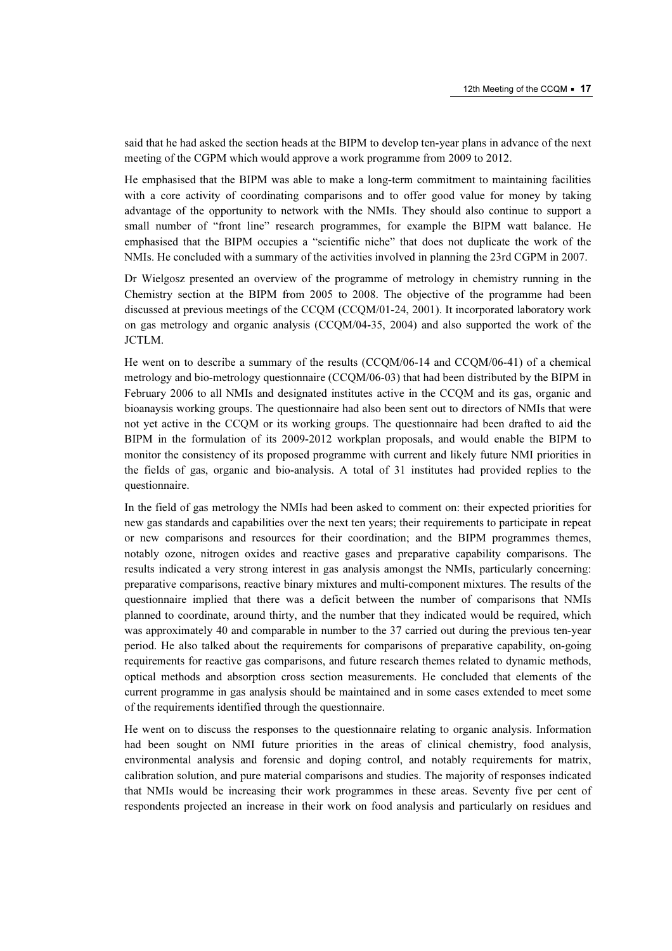said that he had asked the section heads at the BIPM to develop ten-year plans in advance of the next meeting of the CGPM which would approve a work programme from 2009 to 2012.

He emphasised that the BIPM was able to make a long-term commitment to maintaining facilities with a core activity of coordinating comparisons and to offer good value for money by taking advantage of the opportunity to network with the NMIs. They should also continue to support a small number of "front line" research programmes, for example the BIPM watt balance. He emphasised that the BIPM occupies a "scientific niche" that does not duplicate the work of the NMIs. He concluded with a summary of the activities involved in planning the 23rd CGPM in 2007.

Dr Wielgosz presented an overview of the programme of metrology in chemistry running in the Chemistry section at the BIPM from 2005 to 2008. The objective of the programme had been discussed at previous meetings of the CCQM (CCQM/01-24, 2001). It incorporated laboratory work on gas metrology and organic analysis (CCQM/04-35, 2004) and also supported the work of the JCTLM.

He went on to describe a summary of the results (CCQM/06-14 and CCQM/06-41) of a chemical metrology and bio-metrology questionnaire (CCQM/06-03) that had been distributed by the BIPM in February 2006 to all NMIs and designated institutes active in the CCQM and its gas, organic and bioanaysis working groups. The questionnaire had also been sent out to directors of NMIs that were not yet active in the CCQM or its working groups. The questionnaire had been drafted to aid the BIPM in the formulation of its 2009-2012 workplan proposals, and would enable the BIPM to monitor the consistency of its proposed programme with current and likely future NMI priorities in the fields of gas, organic and bio-analysis. A total of 31 institutes had provided replies to the questionnaire.

In the field of gas metrology the NMIs had been asked to comment on: their expected priorities for new gas standards and capabilities over the next ten years; their requirements to participate in repeat or new comparisons and resources for their coordination; and the BIPM programmes themes, notably ozone, nitrogen oxides and reactive gases and preparative capability comparisons. The results indicated a very strong interest in gas analysis amongst the NMIs, particularly concerning: preparative comparisons, reactive binary mixtures and multi-component mixtures. The results of the questionnaire implied that there was a deficit between the number of comparisons that NMIs planned to coordinate, around thirty, and the number that they indicated would be required, which was approximately 40 and comparable in number to the 37 carried out during the previous ten-year period. He also talked about the requirements for comparisons of preparative capability, on-going requirements for reactive gas comparisons, and future research themes related to dynamic methods, optical methods and absorption cross section measurements. He concluded that elements of the current programme in gas analysis should be maintained and in some cases extended to meet some of the requirements identified through the questionnaire.

He went on to discuss the responses to the questionnaire relating to organic analysis. Information had been sought on NMI future priorities in the areas of clinical chemistry, food analysis, environmental analysis and forensic and doping control, and notably requirements for matrix, calibration solution, and pure material comparisons and studies. The majority of responses indicated that NMIs would be increasing their work programmes in these areas. Seventy five per cent of respondents projected an increase in their work on food analysis and particularly on residues and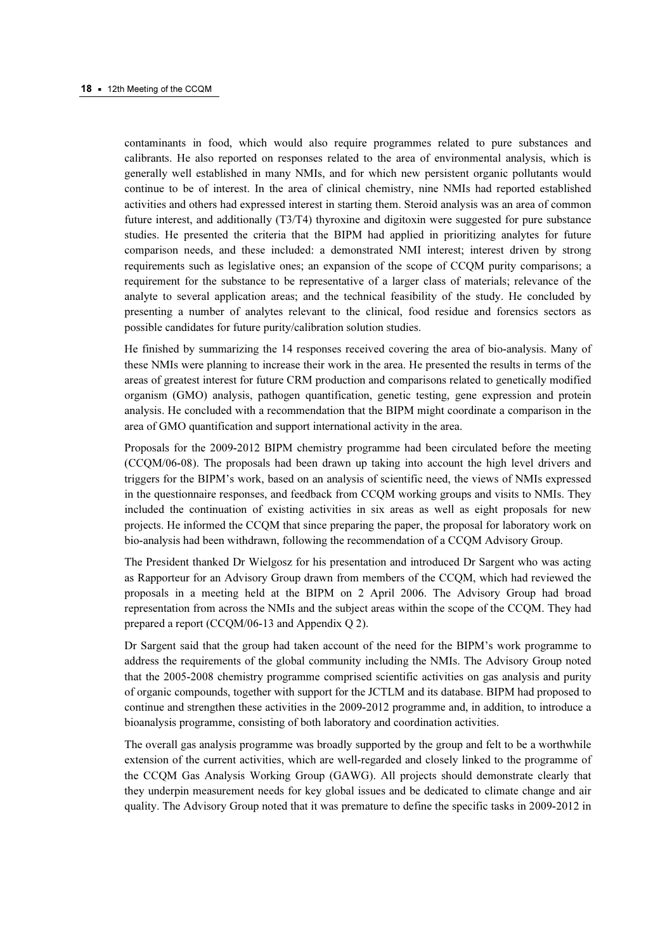contaminants in food, which would also require programmes related to pure substances and calibrants. He also reported on responses related to the area of environmental analysis, which is generally well established in many NMIs, and for which new persistent organic pollutants would continue to be of interest. In the area of clinical chemistry, nine NMIs had reported established activities and others had expressed interest in starting them. Steroid analysis was an area of common future interest, and additionally (T3/T4) thyroxine and digitoxin were suggested for pure substance studies. He presented the criteria that the BIPM had applied in prioritizing analytes for future comparison needs, and these included: a demonstrated NMI interest; interest driven by strong requirements such as legislative ones; an expansion of the scope of CCQM purity comparisons; a requirement for the substance to be representative of a larger class of materials; relevance of the analyte to several application areas; and the technical feasibility of the study. He concluded by presenting a number of analytes relevant to the clinical, food residue and forensics sectors as possible candidates for future purity/calibration solution studies.

He finished by summarizing the 14 responses received covering the area of bio-analysis. Many of these NMIs were planning to increase their work in the area. He presented the results in terms of the areas of greatest interest for future CRM production and comparisons related to genetically modified organism (GMO) analysis, pathogen quantification, genetic testing, gene expression and protein analysis. He concluded with a recommendation that the BIPM might coordinate a comparison in the area of GMO quantification and support international activity in the area.

Proposals for the 2009-2012 BIPM chemistry programme had been circulated before the meeting (CCQM/06-08). The proposals had been drawn up taking into account the high level drivers and triggers for the BIPM's work, based on an analysis of scientific need, the views of NMIs expressed in the questionnaire responses, and feedback from CCQM working groups and visits to NMIs. They included the continuation of existing activities in six areas as well as eight proposals for new projects. He informed the CCQM that since preparing the paper, the proposal for laboratory work on bio-analysis had been withdrawn, following the recommendation of a CCQM Advisory Group.

The President thanked Dr Wielgosz for his presentation and introduced Dr Sargent who was acting as Rapporteur for an Advisory Group drawn from members of the CCQM, which had reviewed the proposals in a meeting held at the BIPM on 2 April 2006. The Advisory Group had broad representation from across the NMIs and the subject areas within the scope of the CCQM. They had prepared a report (CCQM/06-13 and Appendix Q 2).

Dr Sargent said that the group had taken account of the need for the BIPM's work programme to address the requirements of the global community including the NMIs. The Advisory Group noted that the 2005-2008 chemistry programme comprised scientific activities on gas analysis and purity of organic compounds, together with support for the JCTLM and its database. BIPM had proposed to continue and strengthen these activities in the 2009-2012 programme and, in addition, to introduce a bioanalysis programme, consisting of both laboratory and coordination activities.

The overall gas analysis programme was broadly supported by the group and felt to be a worthwhile extension of the current activities, which are well-regarded and closely linked to the programme of the CCQM Gas Analysis Working Group (GAWG). All projects should demonstrate clearly that they underpin measurement needs for key global issues and be dedicated to climate change and air quality. The Advisory Group noted that it was premature to define the specific tasks in 2009-2012 in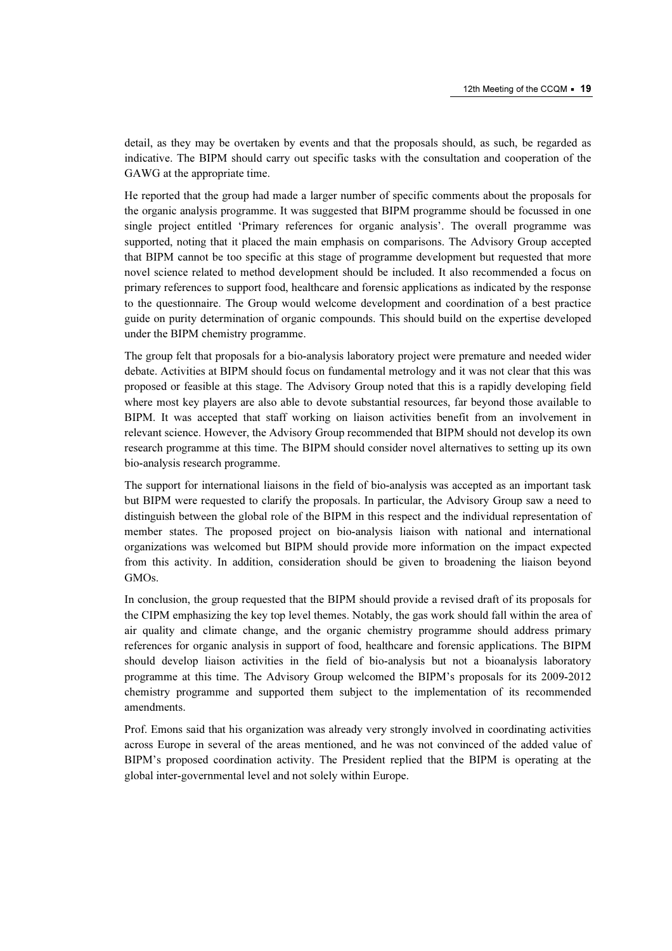detail, as they may be overtaken by events and that the proposals should, as such, be regarded as indicative. The BIPM should carry out specific tasks with the consultation and cooperation of the GAWG at the appropriate time.

He reported that the group had made a larger number of specific comments about the proposals for the organic analysis programme. It was suggested that BIPM programme should be focussed in one single project entitled 'Primary references for organic analysis'. The overall programme was supported, noting that it placed the main emphasis on comparisons. The Advisory Group accepted that BIPM cannot be too specific at this stage of programme development but requested that more novel science related to method development should be included. It also recommended a focus on primary references to support food, healthcare and forensic applications as indicated by the response to the questionnaire. The Group would welcome development and coordination of a best practice guide on purity determination of organic compounds. This should build on the expertise developed under the BIPM chemistry programme.

The group felt that proposals for a bio-analysis laboratory project were premature and needed wider debate. Activities at BIPM should focus on fundamental metrology and it was not clear that this was proposed or feasible at this stage. The Advisory Group noted that this is a rapidly developing field where most key players are also able to devote substantial resources, far beyond those available to BIPM. It was accepted that staff working on liaison activities benefit from an involvement in relevant science. However, the Advisory Group recommended that BIPM should not develop its own research programme at this time. The BIPM should consider novel alternatives to setting up its own bio-analysis research programme.

The support for international liaisons in the field of bio-analysis was accepted as an important task but BIPM were requested to clarify the proposals. In particular, the Advisory Group saw a need to distinguish between the global role of the BIPM in this respect and the individual representation of member states. The proposed project on bio-analysis liaison with national and international organizations was welcomed but BIPM should provide more information on the impact expected from this activity. In addition, consideration should be given to broadening the liaison beyond GMOs.

In conclusion, the group requested that the BIPM should provide a revised draft of its proposals for the CIPM emphasizing the key top level themes. Notably, the gas work should fall within the area of air quality and climate change, and the organic chemistry programme should address primary references for organic analysis in support of food, healthcare and forensic applications. The BIPM should develop liaison activities in the field of bio-analysis but not a bioanalysis laboratory programme at this time. The Advisory Group welcomed the BIPM's proposals for its 2009-2012 chemistry programme and supported them subject to the implementation of its recommended amendments.

Prof. Emons said that his organization was already very strongly involved in coordinating activities across Europe in several of the areas mentioned, and he was not convinced of the added value of BIPM's proposed coordination activity. The President replied that the BIPM is operating at the global inter-governmental level and not solely within Europe.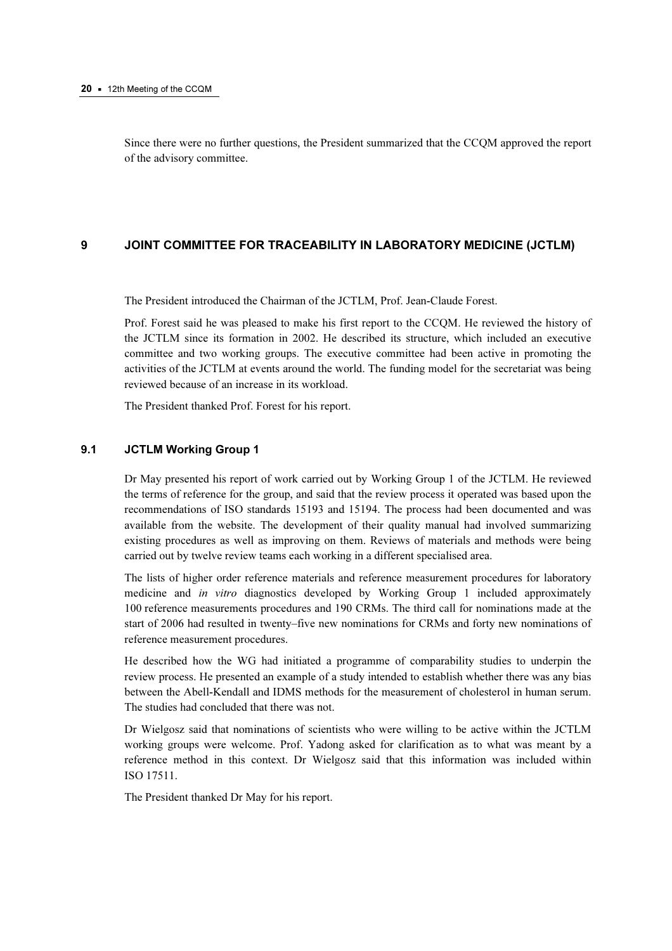Since there were no further questions, the President summarized that the CCQM approved the report of the advisory committee.

## 9 JOINT COMMITTEE FOR TRACEABILITY IN LABORATORY MEDICINE (JCTLM)

The President introduced the Chairman of the JCTLM, Prof. Jean-Claude Forest.

Prof. Forest said he was pleased to make his first report to the CCQM. He reviewed the history of the JCTLM since its formation in 2002. He described its structure, which included an executive committee and two working groups. The executive committee had been active in promoting the activities of the JCTLM at events around the world. The funding model for the secretariat was being reviewed because of an increase in its workload.

The President thanked Prof. Forest for his report.

#### 9.1 JCTLM Working Group 1

Dr May presented his report of work carried out by Working Group 1 of the JCTLM. He reviewed the terms of reference for the group, and said that the review process it operated was based upon the recommendations of ISO standards 15193 and 15194. The process had been documented and was available from the website. The development of their quality manual had involved summarizing existing procedures as well as improving on them. Reviews of materials and methods were being carried out by twelve review teams each working in a different specialised area.

The lists of higher order reference materials and reference measurement procedures for laboratory medicine and in vitro diagnostics developed by Working Group 1 included approximately 100 reference measurements procedures and 190 CRMs. The third call for nominations made at the start of 2006 had resulted in twenty–five new nominations for CRMs and forty new nominations of reference measurement procedures.

He described how the WG had initiated a programme of comparability studies to underpin the review process. He presented an example of a study intended to establish whether there was any bias between the Abell-Kendall and IDMS methods for the measurement of cholesterol in human serum. The studies had concluded that there was not.

Dr Wielgosz said that nominations of scientists who were willing to be active within the JCTLM working groups were welcome. Prof. Yadong asked for clarification as to what was meant by a reference method in this context. Dr Wielgosz said that this information was included within ISO 17511.

The President thanked Dr May for his report.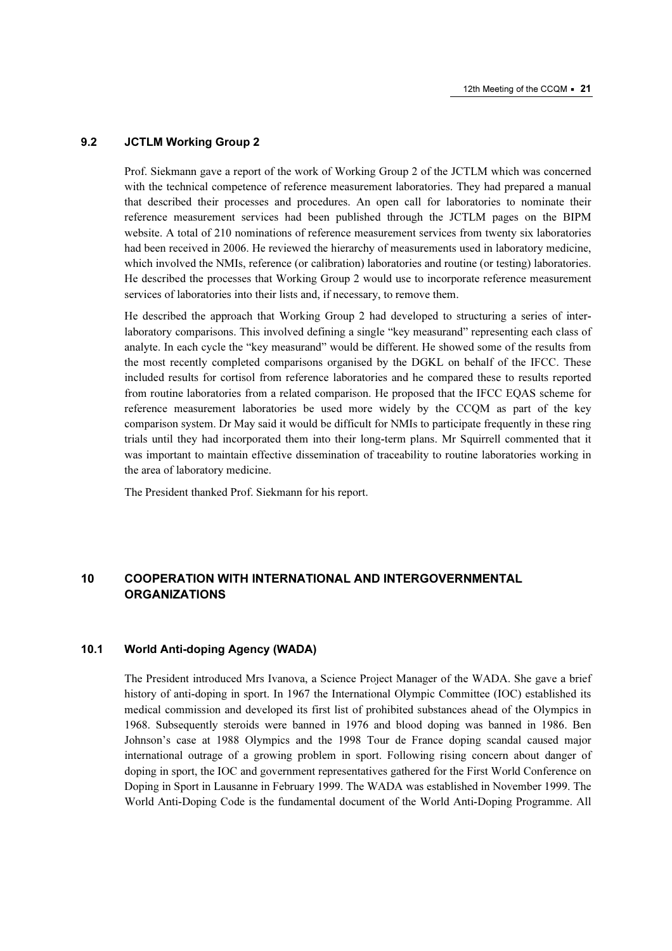#### 9.2 JCTLM Working Group 2

Prof. Siekmann gave a report of the work of Working Group 2 of the JCTLM which was concerned with the technical competence of reference measurement laboratories. They had prepared a manual that described their processes and procedures. An open call for laboratories to nominate their reference measurement services had been published through the JCTLM pages on the BIPM website. A total of 210 nominations of reference measurement services from twenty six laboratories had been received in 2006. He reviewed the hierarchy of measurements used in laboratory medicine, which involved the NMIs, reference (or calibration) laboratories and routine (or testing) laboratories. He described the processes that Working Group 2 would use to incorporate reference measurement services of laboratories into their lists and, if necessary, to remove them.

He described the approach that Working Group 2 had developed to structuring a series of interlaboratory comparisons. This involved defining a single "key measurand" representing each class of analyte. In each cycle the "key measurand" would be different. He showed some of the results from the most recently completed comparisons organised by the DGKL on behalf of the IFCC. These included results for cortisol from reference laboratories and he compared these to results reported from routine laboratories from a related comparison. He proposed that the IFCC EQAS scheme for reference measurement laboratories be used more widely by the CCQM as part of the key comparison system. Dr May said it would be difficult for NMIs to participate frequently in these ring trials until they had incorporated them into their long-term plans. Mr Squirrell commented that it was important to maintain effective dissemination of traceability to routine laboratories working in the area of laboratory medicine.

The President thanked Prof. Siekmann for his report.

## 10 COOPERATION WITH INTERNATIONAL AND INTERGOVERNMENTAL **ORGANIZATIONS**

## 10.1 World Anti-doping Agency (WADA)

The President introduced Mrs Ivanova, a Science Project Manager of the WADA. She gave a brief history of anti-doping in sport. In 1967 the International Olympic Committee (IOC) established its medical commission and developed its first list of prohibited substances ahead of the Olympics in 1968. Subsequently steroids were banned in 1976 and blood doping was banned in 1986. Ben Johnson's case at 1988 Olympics and the 1998 Tour de France doping scandal caused major international outrage of a growing problem in sport. Following rising concern about danger of doping in sport, the IOC and government representatives gathered for the First World Conference on Doping in Sport in Lausanne in February 1999. The WADA was established in November 1999. The World Anti-Doping Code is the fundamental document of the World Anti-Doping Programme. All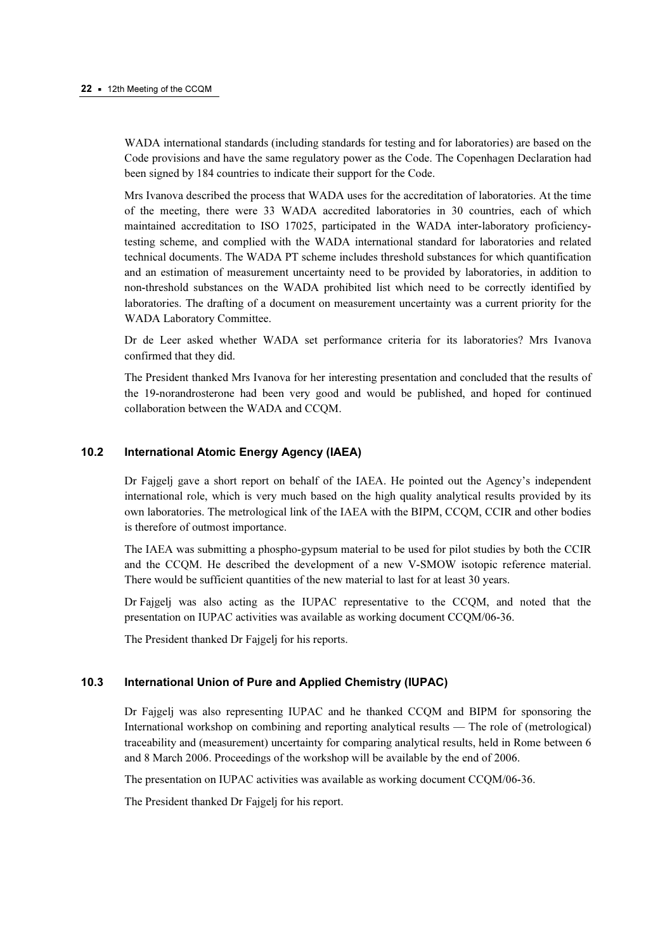WADA international standards (including standards for testing and for laboratories) are based on the Code provisions and have the same regulatory power as the Code. The Copenhagen Declaration had been signed by 184 countries to indicate their support for the Code.

Mrs Ivanova described the process that WADA uses for the accreditation of laboratories. At the time of the meeting, there were 33 WADA accredited laboratories in 30 countries, each of which maintained accreditation to ISO 17025, participated in the WADA inter-laboratory proficiencytesting scheme, and complied with the WADA international standard for laboratories and related technical documents. The WADA PT scheme includes threshold substances for which quantification and an estimation of measurement uncertainty need to be provided by laboratories, in addition to non-threshold substances on the WADA prohibited list which need to be correctly identified by laboratories. The drafting of a document on measurement uncertainty was a current priority for the WADA Laboratory Committee.

Dr de Leer asked whether WADA set performance criteria for its laboratories? Mrs Ivanova confirmed that they did.

The President thanked Mrs Ivanova for her interesting presentation and concluded that the results of the 19-norandrosterone had been very good and would be published, and hoped for continued collaboration between the WADA and CCQM.

## 10.2 International Atomic Energy Agency (IAEA)

Dr Fajgelj gave a short report on behalf of the IAEA. He pointed out the Agency's independent international role, which is very much based on the high quality analytical results provided by its own laboratories. The metrological link of the IAEA with the BIPM, CCQM, CCIR and other bodies is therefore of outmost importance.

The IAEA was submitting a phospho-gypsum material to be used for pilot studies by both the CCIR and the CCQM. He described the development of a new V-SMOW isotopic reference material. There would be sufficient quantities of the new material to last for at least 30 years.

Dr Fajgelj was also acting as the IUPAC representative to the CCQM, and noted that the presentation on IUPAC activities was available as working document CCQM/06-36.

The President thanked Dr Fajgelj for his reports.

#### 10.3 International Union of Pure and Applied Chemistry (IUPAC)

Dr Fajgelj was also representing IUPAC and he thanked CCQM and BIPM for sponsoring the International workshop on combining and reporting analytical results — The role of (metrological) traceability and (measurement) uncertainty for comparing analytical results, held in Rome between 6 and 8 March 2006. Proceedings of the workshop will be available by the end of 2006.

The presentation on IUPAC activities was available as working document CCQM/06-36.

The President thanked Dr Fajgelj for his report.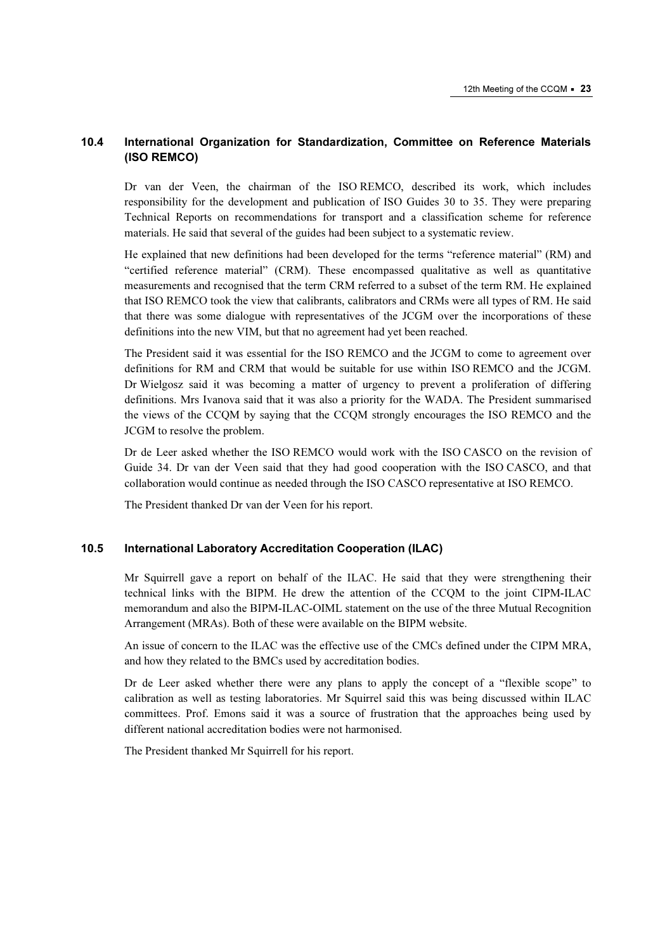## 10.4 International Organization for Standardization, Committee on Reference Materials (ISO REMCO)

Dr van der Veen, the chairman of the ISO REMCO, described its work, which includes responsibility for the development and publication of ISO Guides 30 to 35. They were preparing Technical Reports on recommendations for transport and a classification scheme for reference materials. He said that several of the guides had been subject to a systematic review.

He explained that new definitions had been developed for the terms "reference material" (RM) and "certified reference material" (CRM). These encompassed qualitative as well as quantitative measurements and recognised that the term CRM referred to a subset of the term RM. He explained that ISO REMCO took the view that calibrants, calibrators and CRMs were all types of RM. He said that there was some dialogue with representatives of the JCGM over the incorporations of these definitions into the new VIM, but that no agreement had yet been reached.

The President said it was essential for the ISO REMCO and the JCGM to come to agreement over definitions for RM and CRM that would be suitable for use within ISO REMCO and the JCGM. Dr Wielgosz said it was becoming a matter of urgency to prevent a proliferation of differing definitions. Mrs Ivanova said that it was also a priority for the WADA. The President summarised the views of the CCQM by saying that the CCQM strongly encourages the ISO REMCO and the JCGM to resolve the problem.

Dr de Leer asked whether the ISO REMCO would work with the ISO CASCO on the revision of Guide 34. Dr van der Veen said that they had good cooperation with the ISO CASCO, and that collaboration would continue as needed through the ISO CASCO representative at ISO REMCO.

The President thanked Dr van der Veen for his report.

#### 10.5 International Laboratory Accreditation Cooperation (ILAC)

Mr Squirrell gave a report on behalf of the ILAC. He said that they were strengthening their technical links with the BIPM. He drew the attention of the CCQM to the joint CIPM-ILAC memorandum and also the BIPM-ILAC-OIML statement on the use of the three Mutual Recognition Arrangement (MRAs). Both of these were available on the BIPM website.

An issue of concern to the ILAC was the effective use of the CMCs defined under the CIPM MRA, and how they related to the BMCs used by accreditation bodies.

Dr de Leer asked whether there were any plans to apply the concept of a "flexible scope" to calibration as well as testing laboratories. Mr Squirrel said this was being discussed within ILAC committees. Prof. Emons said it was a source of frustration that the approaches being used by different national accreditation bodies were not harmonised.

The President thanked Mr Squirrell for his report.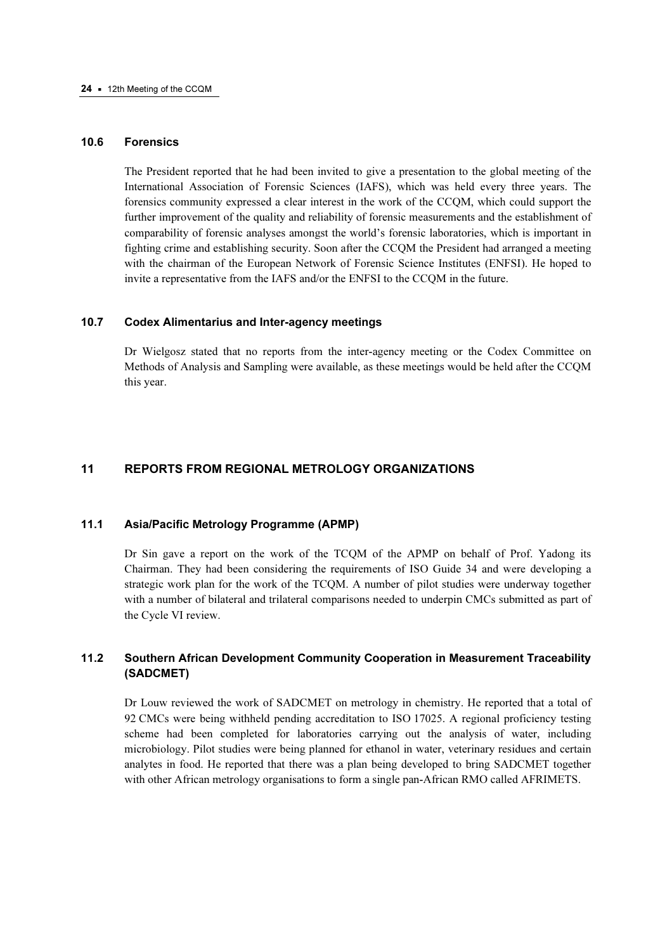#### 10.6 Forensics

The President reported that he had been invited to give a presentation to the global meeting of the International Association of Forensic Sciences (IAFS), which was held every three years. The forensics community expressed a clear interest in the work of the CCQM, which could support the further improvement of the quality and reliability of forensic measurements and the establishment of comparability of forensic analyses amongst the world's forensic laboratories, which is important in fighting crime and establishing security. Soon after the CCQM the President had arranged a meeting with the chairman of the European Network of Forensic Science Institutes (ENFSI). He hoped to invite a representative from the IAFS and/or the ENFSI to the CCQM in the future.

#### 10.7 Codex Alimentarius and Inter-agency meetings

Dr Wielgosz stated that no reports from the inter-agency meeting or the Codex Committee on Methods of Analysis and Sampling were available, as these meetings would be held after the CCQM this year.

#### 11 REPORTS FROM REGIONAL METROLOGY ORGANIZATIONS

### 11.1 Asia/Pacific Metrology Programme (APMP)

Dr Sin gave a report on the work of the TCQM of the APMP on behalf of Prof. Yadong its Chairman. They had been considering the requirements of ISO Guide 34 and were developing a strategic work plan for the work of the TCQM. A number of pilot studies were underway together with a number of bilateral and trilateral comparisons needed to underpin CMCs submitted as part of the Cycle VI review.

## 11.2 Southern African Development Community Cooperation in Measurement Traceability (SADCMET)

Dr Louw reviewed the work of SADCMET on metrology in chemistry. He reported that a total of 92 CMCs were being withheld pending accreditation to ISO 17025. A regional proficiency testing scheme had been completed for laboratories carrying out the analysis of water, including microbiology. Pilot studies were being planned for ethanol in water, veterinary residues and certain analytes in food. He reported that there was a plan being developed to bring SADCMET together with other African metrology organisations to form a single pan-African RMO called AFRIMETS.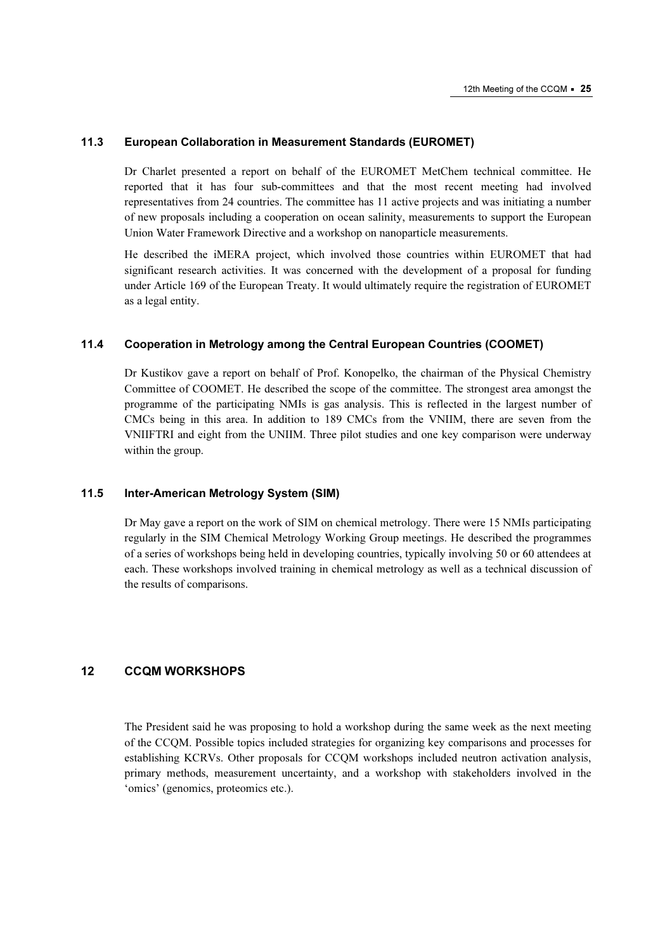#### 11.3 European Collaboration in Measurement Standards (EUROMET)

Dr Charlet presented a report on behalf of the EUROMET MetChem technical committee. He reported that it has four sub-committees and that the most recent meeting had involved representatives from 24 countries. The committee has 11 active projects and was initiating a number of new proposals including a cooperation on ocean salinity, measurements to support the European Union Water Framework Directive and a workshop on nanoparticle measurements.

He described the iMERA project, which involved those countries within EUROMET that had significant research activities. It was concerned with the development of a proposal for funding under Article 169 of the European Treaty. It would ultimately require the registration of EUROMET as a legal entity.

## 11.4 Cooperation in Metrology among the Central European Countries (COOMET)

Dr Kustikov gave a report on behalf of Prof. Konopelko, the chairman of the Physical Chemistry Committee of COOMET. He described the scope of the committee. The strongest area amongst the programme of the participating NMIs is gas analysis. This is reflected in the largest number of CMCs being in this area. In addition to 189 CMCs from the VNIIM, there are seven from the VNIIFTRI and eight from the UNIIM. Three pilot studies and one key comparison were underway within the group.

#### 11.5 Inter-American Metrology System (SIM)

Dr May gave a report on the work of SIM on chemical metrology. There were 15 NMIs participating regularly in the SIM Chemical Metrology Working Group meetings. He described the programmes of a series of workshops being held in developing countries, typically involving 50 or 60 attendees at each. These workshops involved training in chemical metrology as well as a technical discussion of the results of comparisons.

## 12 CCQM WORKSHOPS

The President said he was proposing to hold a workshop during the same week as the next meeting of the CCQM. Possible topics included strategies for organizing key comparisons and processes for establishing KCRVs. Other proposals for CCQM workshops included neutron activation analysis, primary methods, measurement uncertainty, and a workshop with stakeholders involved in the 'omics' (genomics, proteomics etc.).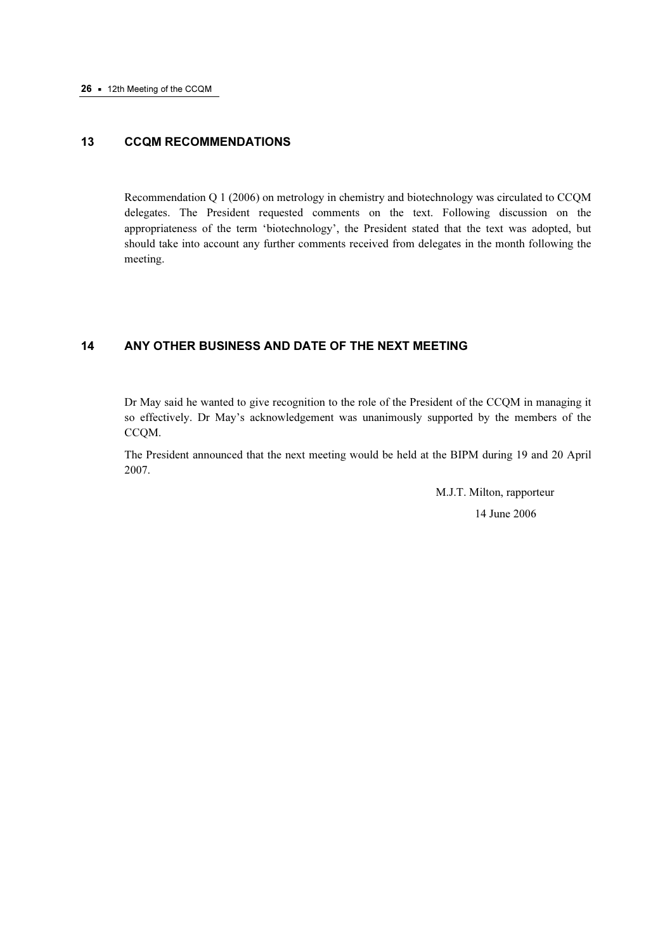## 13 CCQM RECOMMENDATIONS

Recommendation Q 1 (2006) on metrology in chemistry and biotechnology was circulated to CCQM delegates. The President requested comments on the text. Following discussion on the appropriateness of the term 'biotechnology', the President stated that the text was adopted, but should take into account any further comments received from delegates in the month following the meeting.

#### 14 ANY OTHER BUSINESS AND DATE OF THE NEXT MEETING

Dr May said he wanted to give recognition to the role of the President of the CCQM in managing it so effectively. Dr May's acknowledgement was unanimously supported by the members of the CCQM.

The President announced that the next meeting would be held at the BIPM during 19 and 20 April 2007.

> M.J.T. Milton, rapporteur 14 June 2006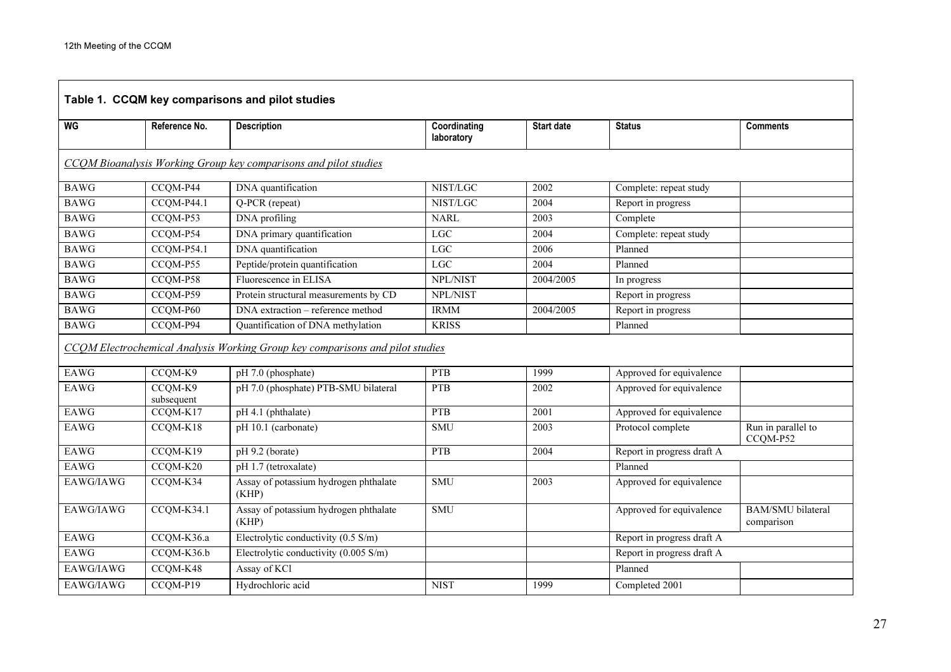| Table 1. CCQM key comparisons and pilot studies |                       |                                                                               |                            |                   |                            |                                        |  |
|-------------------------------------------------|-----------------------|-------------------------------------------------------------------------------|----------------------------|-------------------|----------------------------|----------------------------------------|--|
| WG                                              | Reference No.         | <b>Description</b>                                                            | Coordinating<br>laboratory | <b>Start date</b> | <b>Status</b>              | <b>Comments</b>                        |  |
|                                                 |                       | CCQM Bioanalysis Working Group key comparisons and pilot studies              |                            |                   |                            |                                        |  |
| <b>BAWG</b>                                     | CCQM-P44              | DNA quantification                                                            | NIST/LGC                   | 2002              | Complete: repeat study     |                                        |  |
| <b>BAWG</b>                                     | $CCQM-P44.1$          | Q-PCR (repeat)                                                                | NIST/LGC                   | 2004              | Report in progress         |                                        |  |
| <b>BAWG</b>                                     | CCQM-P53              | DNA profiling                                                                 | <b>NARL</b>                | 2003              | Complete                   |                                        |  |
| <b>BAWG</b>                                     | CCQM-P54              | DNA primary quantification                                                    | LGC                        | 2004              | Complete: repeat study     |                                        |  |
| <b>BAWG</b>                                     | CCQM-P54.1            | DNA quantification                                                            | LGC                        | 2006              | Planned                    |                                        |  |
| <b>BAWG</b>                                     | CCQM-P55              | Peptide/protein quantification                                                | LGC                        | 2004              | Planned                    |                                        |  |
| <b>BAWG</b>                                     | CCQM-P58              | Fluorescence in ELISA                                                         | NPL/NIST                   | 2004/2005         | In progress                |                                        |  |
| <b>BAWG</b>                                     | CCQM-P59              | Protein structural measurements by CD                                         | NPL/NIST                   |                   | Report in progress         |                                        |  |
| <b>BAWG</b>                                     | CCQM-P60              | DNA extraction - reference method                                             | <b>IRMM</b>                | 2004/2005         | Report in progress         |                                        |  |
| <b>BAWG</b>                                     | CCQM-P94              | Quantification of DNA methylation                                             | <b>KRISS</b>               |                   | Planned                    |                                        |  |
|                                                 |                       | CCOM Electrochemical Analysis Working Group key comparisons and pilot studies |                            |                   |                            |                                        |  |
| EAWG                                            | CCQM-K9               | pH 7.0 (phosphate)                                                            | <b>PTB</b>                 | 1999              | Approved for equivalence   |                                        |  |
| <b>EAWG</b>                                     | CCOM-K9<br>subsequent | pH 7.0 (phosphate) PTB-SMU bilateral                                          | <b>PTB</b>                 | 2002              | Approved for equivalence   |                                        |  |
| EAWG                                            | CCQM-K17              | pH 4.1 (phthalate)                                                            | PTB                        | 2001              | Approved for equivalence   |                                        |  |
| <b>EAWG</b>                                     | CCQM-K18              | pH 10.1 (carbonate)                                                           | <b>SMU</b>                 | 2003              | Protocol complete          | Run in parallel to<br>CCQM-P52         |  |
| EAWG                                            | CCQM-K19              | pH 9.2 (borate)                                                               | <b>PTB</b>                 | 2004              | Report in progress draft A |                                        |  |
| <b>EAWG</b>                                     | CCQM-K20              | pH 1.7 (tetroxalate)                                                          |                            |                   | Planned                    |                                        |  |
| EAWG/IAWG                                       | CCQM-K34              | Assay of potassium hydrogen phthalate<br>(KHP)                                | <b>SMU</b>                 | 2003              | Approved for equivalence   |                                        |  |
| EAWG/IAWG                                       | CCQM-K34.1            | Assay of potassium hydrogen phthalate<br>(KHP)                                | <b>SMU</b>                 |                   | Approved for equivalence   | <b>BAM/SMU</b> bilateral<br>comparison |  |
| <b>EAWG</b>                                     | CCQM-K36.a            | Electrolytic conductivity (0.5 S/m)                                           |                            |                   | Report in progress draft A |                                        |  |
| <b>EAWG</b>                                     | CCQM-K36.b            | Electrolytic conductivity (0.005 S/m)                                         |                            |                   | Report in progress draft A |                                        |  |
| EAWG/IAWG                                       | CCQM-K48              | Assay of KCl                                                                  |                            |                   | Planned                    |                                        |  |
| EAWG/IAWG                                       | CCQM-P19              | Hydrochloric acid                                                             | <b>NIST</b>                | 1999              | Completed 2001             |                                        |  |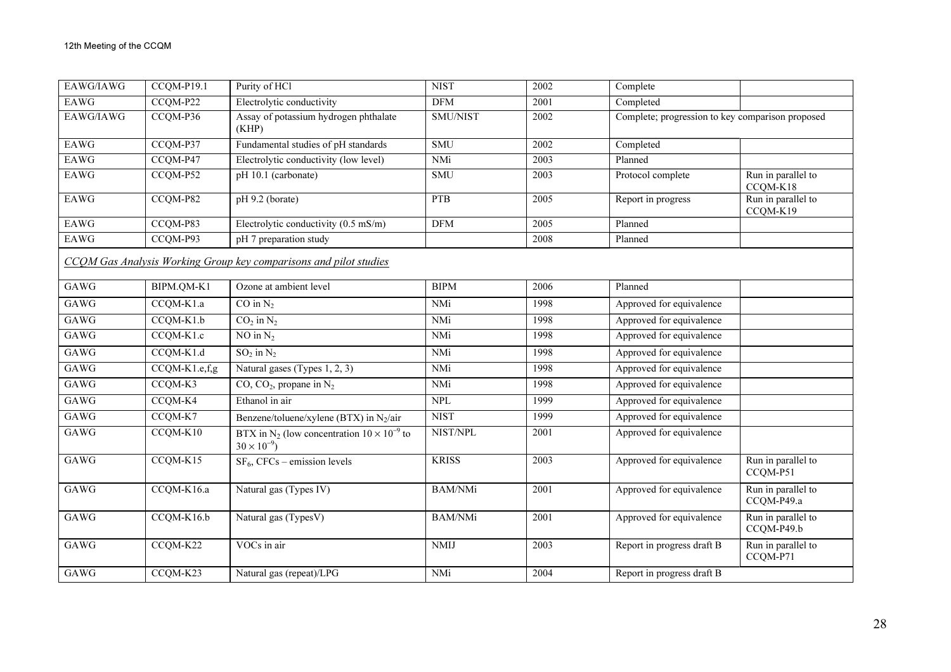| EAWG/IAWG                                                         | CCQM-P19.1    | Purity of HCl                                                                          | <b>NIST</b>     | 2002 | Complete                                         |                                  |  |  |
|-------------------------------------------------------------------|---------------|----------------------------------------------------------------------------------------|-----------------|------|--------------------------------------------------|----------------------------------|--|--|
| <b>EAWG</b>                                                       | CCQM-P22      | Electrolytic conductivity                                                              | <b>DFM</b>      | 2001 | Completed                                        |                                  |  |  |
| EAWG/IAWG                                                         | CCQM-P36      | Assay of potassium hydrogen phthalate<br>(KHP)                                         | <b>SMU/NIST</b> | 2002 | Complete; progression to key comparison proposed |                                  |  |  |
| EAWG                                                              | CCQM-P37      | Fundamental studies of pH standards                                                    | <b>SMU</b>      | 2002 | Completed                                        |                                  |  |  |
| EAWG                                                              | CCQM-P47      | Electrolytic conductivity (low level)                                                  | NMi             | 2003 | Planned                                          |                                  |  |  |
| <b>EAWG</b>                                                       | CCQM-P52      | pH 10.1 (carbonate)                                                                    | <b>SMU</b>      | 2003 | Protocol complete                                | Run in parallel to<br>CCQM-K18   |  |  |
| EAWG                                                              | CCQM-P82      | pH 9.2 (borate)                                                                        | <b>PTB</b>      | 2005 | Report in progress                               | Run in parallel to<br>CCQM-K19   |  |  |
| <b>EAWG</b>                                                       | CCQM-P83      | Electrolytic conductivity (0.5 mS/m)                                                   | <b>DFM</b>      | 2005 | Planned                                          |                                  |  |  |
| EAWG                                                              | CCQM-P93      | pH 7 preparation study                                                                 |                 | 2008 | Planned                                          |                                  |  |  |
| CCOM Gas Analysis Working Group key comparisons and pilot studies |               |                                                                                        |                 |      |                                                  |                                  |  |  |
| GAWG                                                              | BIPM.QM-K1    | Ozone at ambient level                                                                 | <b>BIPM</b>     | 2006 | Planned                                          |                                  |  |  |
| GAWG                                                              | CCQM-K1.a     | $CO$ in $N_2$                                                                          | NMi             | 1998 | Approved for equivalence                         |                                  |  |  |
| GAWG                                                              | CCQM-K1.b     | $CO2$ in $N2$                                                                          | NMi             | 1998 | Approved for equivalence                         |                                  |  |  |
| GAWG                                                              | CCQM-K1.c     | NO in $N_2$                                                                            | NMi             | 1998 | Approved for equivalence                         |                                  |  |  |
| GAWG                                                              | CCQM-K1.d     | $SO_2$ in $N_2$                                                                        | NMi             | 1998 | Approved for equivalence                         |                                  |  |  |
| GAWG                                                              | CCQM-K1.e,f,g | Natural gases (Types 1, 2, 3)                                                          | NMi             | 1998 | Approved for equivalence                         |                                  |  |  |
| GAWG                                                              | CCQM-K3       | $CO$ , $CO2$ , propane in N <sub>2</sub>                                               | NMi             | 1998 | Approved for equivalence                         |                                  |  |  |
| GAWG                                                              | CCQM-K4       | Ethanol in air                                                                         | <b>NPL</b>      | 1999 | Approved for equivalence                         |                                  |  |  |
| GAWG                                                              | CCQM-K7       | Benzene/toluene/xylene (BTX) in $N_2/air$                                              | <b>NIST</b>     | 1999 | Approved for equivalence                         |                                  |  |  |
| GAWG                                                              | $CCQM-K10$    | BTX in N <sub>2</sub> (low concentration $10 \times 10^{-9}$ to<br>$30 \times 10^{-9}$ | NIST/NPL        | 2001 | Approved for equivalence                         |                                  |  |  |
| GAWG                                                              | CCQM-K15      | $SF_6$ , CFCs – emission levels                                                        | <b>KRISS</b>    | 2003 | Approved for equivalence                         | Run in parallel to<br>CCQM-P51   |  |  |
| GAWG                                                              | CCQM-K16.a    | Natural gas (Types IV)                                                                 | <b>BAM/NMi</b>  | 2001 | Approved for equivalence                         | Run in parallel to<br>CCQM-P49.a |  |  |
| GAWG                                                              | CCQM-K16.b    | Natural gas (TypesV)                                                                   | <b>BAM/NMi</b>  | 2001 | Approved for equivalence                         | Run in parallel to<br>CCQM-P49.b |  |  |
| GAWG                                                              | CCQM-K22      | VOCs in air                                                                            | <b>NMIJ</b>     | 2003 | Report in progress draft B                       | Run in parallel to<br>CCQM-P71   |  |  |
| GAWG                                                              | CCQM-K23      | Natural gas (repeat)/LPG                                                               | NMi             | 2004 | Report in progress draft B                       |                                  |  |  |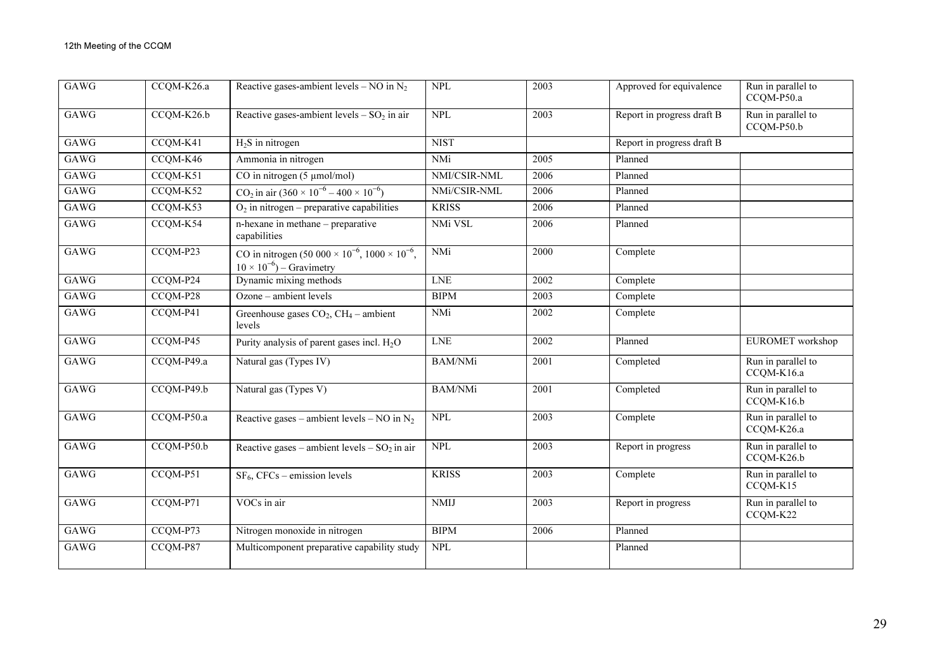| GAWG        | CCQM-K26.a | Reactive gases-ambient levels – NO in $N_2$                                                          | <b>NPL</b>     | 2003 | Approved for equivalence   | Run in parallel to<br>CCQM-P50.a |
|-------------|------------|------------------------------------------------------------------------------------------------------|----------------|------|----------------------------|----------------------------------|
| GAWG        | CCQM-K26.b | Reactive gases-ambient levels $-$ SO <sub>2</sub> in air                                             | <b>NPL</b>     | 2003 | Report in progress draft B | Run in parallel to<br>CCQM-P50.b |
| GAWG        | CCQM-K41   | $H_2S$ in nitrogen                                                                                   | <b>NIST</b>    |      | Report in progress draft B |                                  |
| GAWG        | CCQM-K46   | Ammonia in nitrogen                                                                                  | NMi            | 2005 | Planned                    |                                  |
| GAWG        | CCQM-K51   | CO in nitrogen $(5 \mu$ mol/mol)                                                                     | NMI/CSIR-NML   | 2006 | Planned                    |                                  |
| GAWG        | CCQM-K52   | CO <sub>2</sub> in air $(360 \times 10^{-6} - 400 \times 10^{-6})$                                   | NMi/CSIR-NML   | 2006 | Planned                    |                                  |
| GAWG        | CCQM-K53   | $O_2$ in nitrogen – preparative capabilities                                                         | <b>KRISS</b>   | 2006 | Planned                    |                                  |
| GAWG        | CCQM-K54   | n-hexane in methane - preparative<br>capabilities                                                    | NMi VSL        | 2006 | Planned                    |                                  |
| GAWG        | CCQM-P23   | CO in nitrogen $(50\ 000 \times 10^{-6}, 1000 \times 10^{-6},$<br>$10 \times 10^{-6}$ ) – Gravimetry | NMi            | 2000 | Complete                   |                                  |
| <b>GAWG</b> | CCQM-P24   | Dynamic mixing methods                                                                               | <b>LNE</b>     | 2002 | Complete                   |                                  |
| GAWG        | CCQM-P28   | Ozone - ambient levels                                                                               | <b>BIPM</b>    | 2003 | Complete                   |                                  |
| GAWG        | CCQM-P41   | Greenhouse gases $CO2$ , $CH4$ – ambient<br>levels                                                   | NMi            | 2002 | Complete                   |                                  |
| GAWG        | CCQM-P45   | Purity analysis of parent gases incl. $H_2O$                                                         | <b>LNE</b>     | 2002 | Planned                    | EUROMET workshop                 |
| GAWG        | CCQM-P49.a | Natural gas (Types IV)                                                                               | <b>BAM/NMi</b> | 2001 | Completed                  | Run in parallel to<br>CCQM-K16.a |
| GAWG        | CCQM-P49.b | Natural gas (Types V)                                                                                | <b>BAM/NMi</b> | 2001 | Completed                  | Run in parallel to<br>CCQM-K16.b |
| GAWG        | CCQM-P50.a | Reactive gases – ambient levels – NO in $N_2$                                                        | <b>NPL</b>     | 2003 | Complete                   | Run in parallel to<br>CCQM-K26.a |
| GAWG        | CCQM-P50.b | Reactive gases – ambient levels – $SO_2$ in air                                                      | <b>NPL</b>     | 2003 | Report in progress         | Run in parallel to<br>CCQM-K26.b |
| GAWG        | CCQM-P51   | $SF_6$ , CFCs – emission levels                                                                      | <b>KRISS</b>   | 2003 | Complete                   | Run in parallel to<br>CCQM-K15   |
| GAWG        | CCQM-P71   | VOCs in air                                                                                          | <b>NMIJ</b>    | 2003 | Report in progress         | Run in parallel to<br>CCQM-K22   |
| GAWG        | CCQM-P73   | Nitrogen monoxide in nitrogen                                                                        | <b>BIPM</b>    | 2006 | Planned                    |                                  |
| GAWG        | CCQM-P87   | Multicomponent preparative capability study                                                          | <b>NPL</b>     |      | Planned                    |                                  |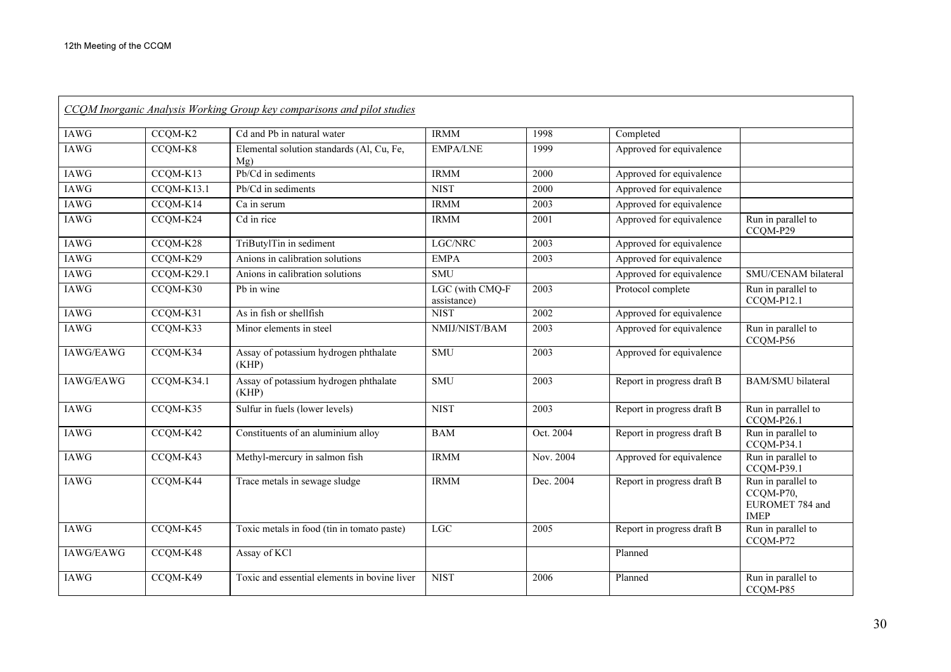| CCOM Inorganic Analysis Working Group key comparisons and pilot studies |              |                                                  |                                |           |                            |                                                                   |  |
|-------------------------------------------------------------------------|--------------|--------------------------------------------------|--------------------------------|-----------|----------------------------|-------------------------------------------------------------------|--|
| <b>IAWG</b>                                                             | CCQM-K2      | Cd and Pb in natural water                       | <b>IRMM</b>                    | 1998      | Completed                  |                                                                   |  |
| <b>IAWG</b>                                                             | CCQM-K8      | Elemental solution standards (Al, Cu, Fe,<br>Mg) | <b>EMPA/LNE</b>                | 1999      | Approved for equivalence   |                                                                   |  |
| <b>IAWG</b>                                                             | CCQM-K13     | Pb/Cd in sediments                               | <b>IRMM</b>                    | 2000      | Approved for equivalence   |                                                                   |  |
| <b>IAWG</b>                                                             | CCQM-K13.1   | Pb/Cd in sediments                               | <b>NIST</b>                    | 2000      | Approved for equivalence   |                                                                   |  |
| <b>IAWG</b>                                                             | CCQM-K14     | Ca in serum                                      | <b>IRMM</b>                    | 2003      | Approved for equivalence   |                                                                   |  |
| IAWG                                                                    | CCQM-K24     | Cd in rice                                       | <b>IRMM</b>                    | 2001      | Approved for equivalence   | Run in parallel to<br>CCQM-P29                                    |  |
| <b>IAWG</b>                                                             | CCQM-K28     | TriButylTin in sediment                          | LGC/NRC                        | 2003      | Approved for equivalence   |                                                                   |  |
| IAWG                                                                    | CCQM-K29     | Anions in calibration solutions                  | <b>EMPA</b>                    | 2003      | Approved for equivalence   |                                                                   |  |
| <b>IAWG</b>                                                             | CCQM-K29.1   | Anions in calibration solutions                  | <b>SMU</b>                     |           | Approved for equivalence   | SMU/CENAM bilateral                                               |  |
| <b>IAWG</b>                                                             | CCQM-K30     | Pb in wine                                       | LGC (with CMQ-F<br>assistance) | 2003      | Protocol complete          | Run in parallel to<br>CCQM-P12.1                                  |  |
| <b>IAWG</b>                                                             | CCQM-K31     | As in fish or shellfish                          | <b>NIST</b>                    | 2002      | Approved for equivalence   |                                                                   |  |
| <b>IAWG</b>                                                             | CCQM-K33     | Minor elements in steel                          | NMIJ/NIST/BAM                  | 2003      | Approved for equivalence   | Run in parallel to<br>CCQM-P56                                    |  |
| IAWG/EAWG                                                               | CCQM-K34     | Assay of potassium hydrogen phthalate<br>(KHP)   | <b>SMU</b>                     | 2003      | Approved for equivalence   |                                                                   |  |
| IAWG/EAWG                                                               | $CCQM-K34.1$ | Assay of potassium hydrogen phthalate<br>(KHP)   | <b>SMU</b>                     | 2003      | Report in progress draft B | <b>BAM/SMU</b> bilateral                                          |  |
| <b>IAWG</b>                                                             | CCQM-K35     | Sulfur in fuels (lower levels)                   | <b>NIST</b>                    | 2003      | Report in progress draft B | Run in parrallel to<br>CCQM-P26.1                                 |  |
| <b>IAWG</b>                                                             | CCQM-K42     | Constituents of an aluminium alloy               | <b>BAM</b>                     | Oct. 2004 | Report in progress draft B | Run in parallel to<br>CCQM-P34.1                                  |  |
| IAWG                                                                    | CCQM-K43     | Methyl-mercury in salmon fish                    | <b>IRMM</b>                    | Nov. 2004 | Approved for equivalence   | Run in parallel to<br>CCQM-P39.1                                  |  |
| IAWG                                                                    | CCQM-K44     | Trace metals in sewage sludge                    | <b>IRMM</b>                    | Dec. 2004 | Report in progress draft B | Run in parallel to<br>CCQM-P70,<br>EUROMET 784 and<br><b>IMEP</b> |  |
| <b>IAWG</b>                                                             | CCQM-K45     | Toxic metals in food (tin in tomato paste)       | <b>LGC</b>                     | 2005      | Report in progress draft B | Run in parallel to<br>CCQM-P72                                    |  |
| IAWG/EAWG                                                               | CCQM-K48     | Assay of KCl                                     |                                |           | Planned                    |                                                                   |  |
| <b>IAWG</b>                                                             | CCQM-K49     | Toxic and essential elements in bovine liver     | <b>NIST</b>                    | 2006      | Planned                    | Run in parallel to<br>CCQM-P85                                    |  |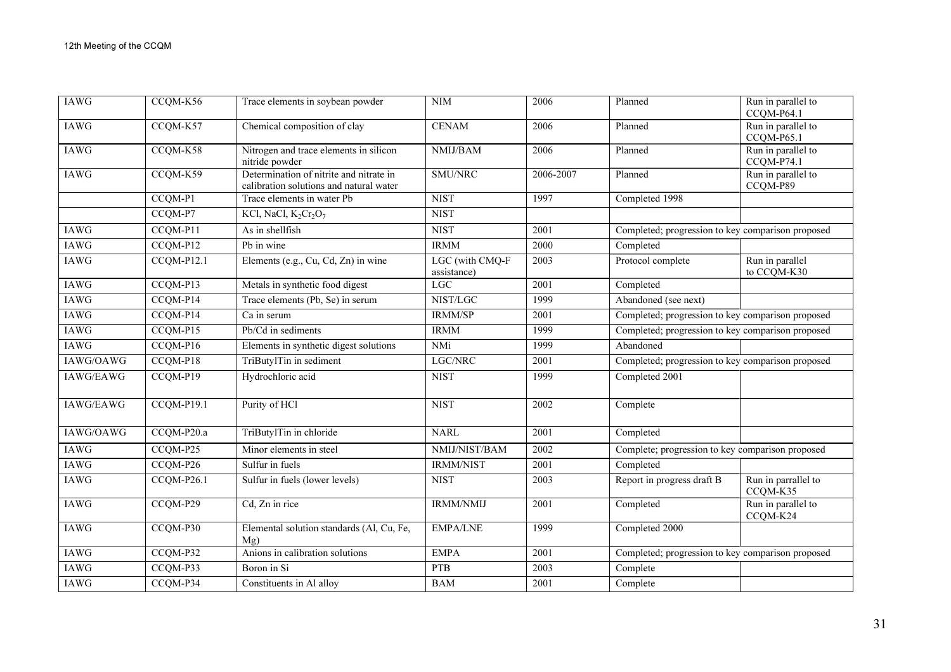| <b>IAWG</b> | CCQM-K56   | Trace elements in soybean powder                                                   | <b>NIM</b>                     | 2006      | Planned                                           | Run in parallel to<br>CCQM-P64.1 |
|-------------|------------|------------------------------------------------------------------------------------|--------------------------------|-----------|---------------------------------------------------|----------------------------------|
| <b>IAWG</b> | CCQM-K57   | Chemical composition of clay                                                       | <b>CENAM</b>                   | 2006      | Planned                                           | Run in parallel to<br>CCQM-P65.1 |
| <b>IAWG</b> | CCQM-K58   | Nitrogen and trace elements in silicon<br>nitride powder                           | NMIJ/BAM                       | 2006      | Planned                                           | Run in parallel to<br>CCQM-P74.1 |
| <b>IAWG</b> | CCQM-K59   | Determination of nitrite and nitrate in<br>calibration solutions and natural water | SMU/NRC                        | 2006-2007 | Planned                                           | Run in parallel to<br>CCQM-P89   |
|             | CCQM-P1    | Trace elements in water Pb                                                         | <b>NIST</b>                    | 1997      | Completed 1998                                    |                                  |
|             | CCQM-P7    | KCl, NaCl, K <sub>2</sub> Cr <sub>2</sub> O <sub>7</sub>                           | <b>NIST</b>                    |           |                                                   |                                  |
| <b>IAWG</b> | CCQM-P11   | As in shellfish                                                                    | <b>NIST</b>                    | 2001      | Completed; progression to key comparison proposed |                                  |
| <b>IAWG</b> | CCQM-P12   | Pb in wine                                                                         | <b>IRMM</b>                    | 2000      | Completed                                         |                                  |
| IAWG        | CCQM-P12.1 | Elements (e.g., Cu, Cd, Zn) in wine                                                | LGC (with CMQ-F<br>assistance) | 2003      | Protocol complete                                 | Run in parallel<br>to CCQM-K30   |
| <b>IAWG</b> | CCQM-P13   | Metals in synthetic food digest                                                    | <b>LGC</b>                     | 2001      | Completed                                         |                                  |
| IAWG        | CCQM-P14   | Trace elements (Pb, Se) in serum                                                   | NIST/LGC                       | 1999      | Abandoned (see next)                              |                                  |
| <b>IAWG</b> | CCQM-P14   | Ca in serum                                                                        | IRMM/SP                        | 2001      | Completed; progression to key comparison proposed |                                  |
| <b>IAWG</b> | CCQM-P15   | Pb/Cd in sediments                                                                 | <b>IRMM</b>                    | 1999      | Completed; progression to key comparison proposed |                                  |
| <b>IAWG</b> | CCQM-P16   | Elements in synthetic digest solutions                                             | <b>NMi</b>                     | 1999      | Abandoned                                         |                                  |
| IAWG/OAWG   | CCQM-P18   | TriButylTin in sediment                                                            | LGC/NRC                        | 2001      | Completed; progression to key comparison proposed |                                  |
| IAWG/EAWG   | CCQM-P19   | Hydrochloric acid                                                                  | <b>NIST</b>                    | 1999      | Completed 2001                                    |                                  |
| IAWG/EAWG   | CCQM-P19.1 | Purity of HCl                                                                      | <b>NIST</b>                    | 2002      | Complete                                          |                                  |
| IAWG/OAWG   | CCQM-P20.a | TriButylTin in chloride                                                            | <b>NARL</b>                    | 2001      | Completed                                         |                                  |
| IAWG        | CCQM-P25   | Minor elements in steel                                                            | NMIJ/NIST/BAM                  | 2002      | Complete; progression to key comparison proposed  |                                  |
| IAWG        | CCQM-P26   | Sulfur in fuels                                                                    | <b>IRMM/NIST</b>               | 2001      | Completed                                         |                                  |
| IAWG        | CCQM-P26.1 | Sulfur in fuels (lower levels)                                                     | <b>NIST</b>                    | 2003      | Report in progress draft B                        | Run in parrallel to<br>CCQM-K35  |
| <b>IAWG</b> | CCQM-P29   | Cd, Zn in rice                                                                     | <b>IRMM/NMIJ</b>               | 2001      | Completed                                         | Run in parallel to<br>CCQM-K24   |
| <b>IAWG</b> | CCQM-P30   | Elemental solution standards (Al, Cu, Fe,<br>Mg)                                   | <b>EMPA/LNE</b>                | 1999      | Completed 2000                                    |                                  |
| <b>IAWG</b> | CCQM-P32   | Anions in calibration solutions                                                    | <b>EMPA</b>                    | 2001      | Completed; progression to key comparison proposed |                                  |
| <b>IAWG</b> | CCQM-P33   | Boron in Si                                                                        | <b>PTB</b>                     | 2003      | Complete                                          |                                  |
| <b>IAWG</b> | CCQM-P34   | Constituents in Al alloy                                                           | <b>BAM</b>                     | 2001      | Complete                                          |                                  |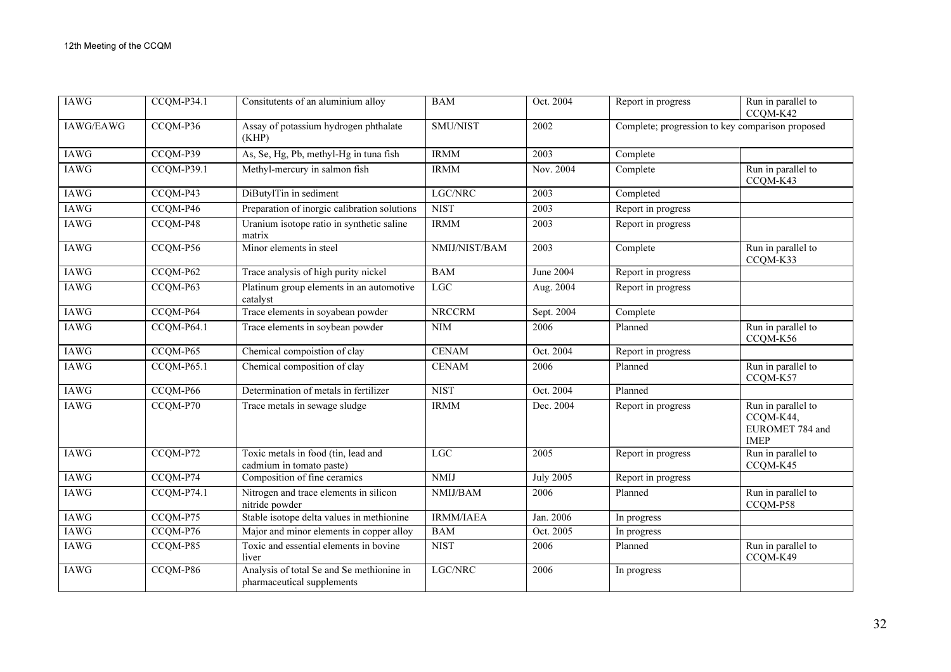| <b>IAWG</b> | $CCQM-P34.1$ | Consitutents of an aluminium alloy                                      | <b>BAM</b>       | Oct. 2004        | Report in progress                               | Run in parallel to<br>CCQM-K42                                    |
|-------------|--------------|-------------------------------------------------------------------------|------------------|------------------|--------------------------------------------------|-------------------------------------------------------------------|
| IAWG/EAWG   | CCQM-P36     | Assay of potassium hydrogen phthalate<br>(KHP)                          | <b>SMU/NIST</b>  | 2002             | Complete; progression to key comparison proposed |                                                                   |
| <b>IAWG</b> | CCQM-P39     | As, Se, Hg, Pb, methyl-Hg in tuna fish                                  | <b>IRMM</b>      | 2003             | Complete                                         |                                                                   |
| IAWG        | CCQM-P39.1   | Methyl-mercury in salmon fish                                           | <b>IRMM</b>      | Nov. 2004        | Complete                                         | Run in parallel to<br>CCQM-K43                                    |
| IAWG        | CCQM-P43     | DiButylTin in sediment                                                  | LGC/NRC          | 2003             | Completed                                        |                                                                   |
| <b>IAWG</b> | CCQM-P46     | Preparation of inorgic calibration solutions                            | <b>NIST</b>      | 2003             | Report in progress                               |                                                                   |
| <b>IAWG</b> | CCQM-P48     | Uranium isotope ratio in synthetic saline<br>matrix                     | <b>IRMM</b>      | 2003             | Report in progress                               |                                                                   |
| <b>IAWG</b> | CCQM-P56     | Minor elements in steel                                                 | NMIJ/NIST/BAM    | 2003             | Complete                                         | Run in parallel to<br>CCQM-K33                                    |
| <b>IAWG</b> | CCQM-P62     | Trace analysis of high purity nickel                                    | <b>BAM</b>       | June 2004        | Report in progress                               |                                                                   |
| <b>IAWG</b> | CCQM-P63     | Platinum group elements in an automotive<br>catalyst                    | $_{\rm LGC}$     | Aug. 2004        | Report in progress                               |                                                                   |
| <b>IAWG</b> | CCQM-P64     | Trace elements in soyabean powder                                       | <b>NRCCRM</b>    | Sept. 2004       | Complete                                         |                                                                   |
| <b>IAWG</b> | CCQM-P64.1   | Trace elements in soybean powder                                        | <b>NIM</b>       | 2006             | Planned                                          | Run in parallel to<br>CCQM-K56                                    |
| <b>IAWG</b> | CCQM-P65     | Chemical compoistion of clay                                            | <b>CENAM</b>     | Oct. 2004        | Report in progress                               |                                                                   |
| <b>IAWG</b> | $CCQM-P65.1$ | Chemical composition of clay                                            | <b>CENAM</b>     | 2006             | Planned                                          | Run in parallel to<br>CCQM-K57                                    |
| <b>IAWG</b> | CCQM-P66     | Determination of metals in fertilizer                                   | <b>NIST</b>      | Oct. 2004        | Planned                                          |                                                                   |
| IAWG        | CCQM-P70     | Trace metals in sewage sludge                                           | <b>IRMM</b>      | Dec. 2004        | Report in progress                               | Run in parallel to<br>CCQM-K44,<br>EUROMET 784 and<br><b>IMEP</b> |
| <b>IAWG</b> | CCQM-P72     | Toxic metals in food (tin, lead and<br>cadmium in tomato paste)         | LGC              | 2005             | Report in progress                               | Run in parallel to<br>CCQM-K45                                    |
| <b>IAWG</b> | $CCQM-P74$   | Composition of fine ceramics                                            | <b>NMIJ</b>      | <b>July 2005</b> | Report in progress                               |                                                                   |
| IAWG        | CCQM-P74.1   | Nitrogen and trace elements in silicon<br>nitride powder                | NMIJ/BAM         | 2006             | Planned                                          | Run in parallel to<br>CCQM-P58                                    |
| <b>IAWG</b> | CCQM-P75     | Stable isotope delta values in methionine                               | <b>IRMM/IAEA</b> | Jan. 2006        | In progress                                      |                                                                   |
| IAWG        | CCQM-P76     | Major and minor elements in copper alloy                                | <b>BAM</b>       | Oct. 2005        | In progress                                      |                                                                   |
| <b>IAWG</b> | CCQM-P85     | Toxic and essential elements in bovine<br>liver                         | <b>NIST</b>      | 2006             | Planned                                          | Run in parallel to<br>CCQM-K49                                    |
| <b>IAWG</b> | CCQM-P86     | Analysis of total Se and Se methionine in<br>pharmaceutical supplements | LGC/NRC          | 2006             | In progress                                      |                                                                   |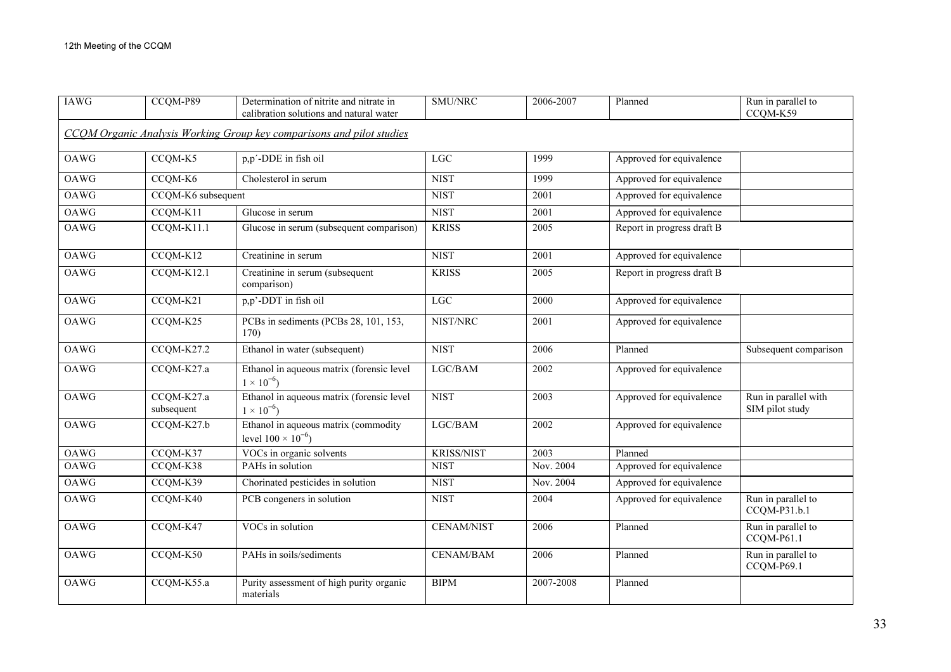| <b>IAWG</b> | CCQM-P89                 | Determination of nitrite and nitrate in<br>calibration solutions and natural water | SMU/NRC           | 2006-2007 | Planned                    | Run in parallel to<br>CCQM-K59          |
|-------------|--------------------------|------------------------------------------------------------------------------------|-------------------|-----------|----------------------------|-----------------------------------------|
|             |                          | CCQM Organic Analysis Working Group key comparisons and pilot studies              |                   |           |                            |                                         |
| OAWG        | CCQM-K5                  | p,p'-DDE in fish oil                                                               | LGC               | 1999      | Approved for equivalence   |                                         |
| <b>OAWG</b> | CCQM-K6                  | Cholesterol in serum                                                               | <b>NIST</b>       | 1999      | Approved for equivalence   |                                         |
| OAWG        | CCQM-K6 subsequent       |                                                                                    | <b>NIST</b>       | 2001      | Approved for equivalence   |                                         |
| OAWG        | CCQM-K11                 | Glucose in serum                                                                   | <b>NIST</b>       | 2001      | Approved for equivalence   |                                         |
| OAWG        | CCQM-K11.1               | Glucose in serum (subsequent comparison)                                           | <b>KRISS</b>      | 2005      | Report in progress draft B |                                         |
| OAWG        | $CCQM-K12$               | Creatinine in serum                                                                | <b>NIST</b>       | 2001      | Approved for equivalence   |                                         |
| OAWG        | CCQM-K12.1               | Creatinine in serum (subsequent<br>comparison)                                     | <b>KRISS</b>      | 2005      | Report in progress draft B |                                         |
| OAWG        | CCQM-K21                 | p,p'-DDT in fish oil                                                               | <b>LGC</b>        | 2000      | Approved for equivalence   |                                         |
| OAWG        | CCQM-K25                 | PCBs in sediments (PCBs 28, 101, 153,<br>170)                                      | NIST/NRC          | 2001      | Approved for equivalence   |                                         |
| OAWG        | $CCQM-K27.2$             | Ethanol in water (subsequent)                                                      | <b>NIST</b>       | 2006      | Planned                    | Subsequent comparison                   |
| OAWG        | CCQM-K27.a               | Ethanol in aqueous matrix (forensic level<br>$1 \times 10^{-6}$                    | LGC/BAM           | 2002      | Approved for equivalence   |                                         |
| OAWG        | CCQM-K27.a<br>subsequent | Ethanol in aqueous matrix (forensic level<br>$1 \times 10^{-6}$                    | <b>NIST</b>       | 2003      | Approved for equivalence   | Run in parallel with<br>SIM pilot study |
| <b>OAWG</b> | CCQM-K27.b               | Ethanol in aqueous matrix (commodity<br>level $100 \times 10^{-6}$ )               | LGC/BAM           | 2002      | Approved for equivalence   |                                         |
| OAWG        | CCQM-K37                 | VOCs in organic solvents                                                           | <b>KRISS/NIST</b> | 2003      | Planned                    |                                         |
| <b>OAWG</b> | CCQM-K38                 | PAHs in solution                                                                   | <b>NIST</b>       | Nov. 2004 | Approved for equivalence   |                                         |
| OAWG        | CCQM-K39                 | Chorinated pesticides in solution                                                  | <b>NIST</b>       | Nov. 2004 | Approved for equivalence   |                                         |
| <b>OAWG</b> | CCQM-K40                 | PCB congeners in solution                                                          | <b>NIST</b>       | 2004      | Approved for equivalence   | Run in parallel to<br>CCQM-P31.b.1      |
| OAWG        | CCQM-K47                 | VOCs in solution                                                                   | <b>CENAM/NIST</b> | 2006      | Planned                    | Run in parallel to<br>CCQM-P61.1        |
| OAWG        | CCQM-K50                 | PAHs in soils/sediments                                                            | CENAM/BAM         | 2006      | Planned                    | Run in parallel to<br>CCQM-P69.1        |
| OAWG        | CCQM-K55.a               | Purity assessment of high purity organic<br>materials                              | <b>BIPM</b>       | 2007-2008 | Planned                    |                                         |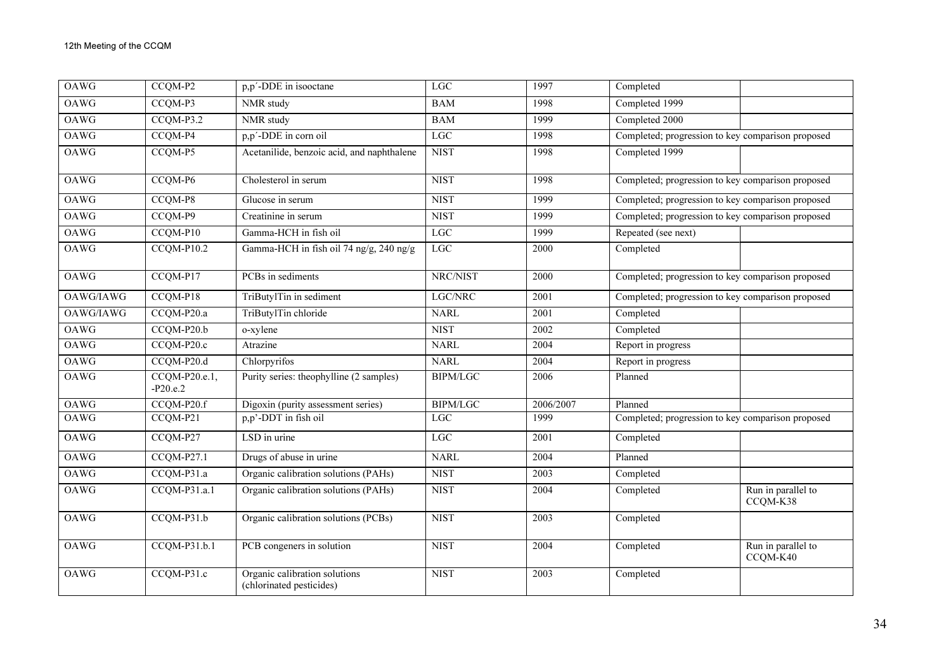| <b>OAWG</b> | CCQM-P2                       | p,p'-DDE in isooctane                                     | <b>LGC</b>      | 1997      | Completed                                         |                                |
|-------------|-------------------------------|-----------------------------------------------------------|-----------------|-----------|---------------------------------------------------|--------------------------------|
| OAWG        | CCQM-P3                       | NMR study                                                 | <b>BAM</b>      | 1998      | Completed 1999                                    |                                |
| OAWG        | CCQM-P3.2                     | NMR study                                                 | <b>BAM</b>      | 1999      | Completed 2000                                    |                                |
| <b>OAWG</b> | CCQM-P4                       | p,p'-DDE in corn oil                                      | LGC             | 1998      | Completed; progression to key comparison proposed |                                |
| OAWG        | CCQM-P5                       | Acetanilide, benzoic acid, and naphthalene                | <b>NIST</b>     | 1998      | Completed 1999                                    |                                |
| OAWG        | CCQM-P6                       | Cholesterol in serum                                      | <b>NIST</b>     | 1998      | Completed; progression to key comparison proposed |                                |
| <b>OAWG</b> | CCQM-P8                       | Glucose in serum                                          | <b>NIST</b>     | 1999      | Completed; progression to key comparison proposed |                                |
| OAWG        | CCQM-P9                       | Creatinine in serum                                       | <b>NIST</b>     | 1999      | Completed; progression to key comparison proposed |                                |
| OAWG        | CCQM-P10                      | Gamma-HCH in fish oil                                     | $_{\rm LGC}$    | 1999      | Repeated (see next)                               |                                |
| OAWG        | CCQM-P10.2                    | Gamma-HCH in fish oil 74 ng/g, 240 ng/g                   | <b>LGC</b>      | 2000      | Completed                                         |                                |
| OAWG        | CCQM-P17                      | PCBs in sediments                                         | NRC/NIST        | 2000      | Completed; progression to key comparison proposed |                                |
| OAWG/IAWG   | CCQM-P18                      | TriButylTin in sediment                                   | LGC/NRC         | 2001      | Completed; progression to key comparison proposed |                                |
| OAWG/IAWG   | CCQM-P20.a                    | TriButylTin chloride                                      | <b>NARL</b>     | 2001      | Completed                                         |                                |
| <b>OAWG</b> | CCQM-P20.b                    | o-xylene                                                  | <b>NIST</b>     | 2002      | Completed                                         |                                |
| OAWG        | $CCQM-P20.c$                  | Atrazine                                                  | <b>NARL</b>     | 2004      | Report in progress                                |                                |
| OAWG        | CCQM-P20.d                    | Chlorpyrifos                                              | <b>NARL</b>     | 2004      | Report in progress                                |                                |
| OAWG        | $CCQM-P20.e.1,$<br>$-P20.e.2$ | Purity series: theophylline (2 samples)                   | <b>BIPM/LGC</b> | 2006      | Planned                                           |                                |
| OAWG        | CCQM-P20.f                    | Digoxin (purity assessment series)                        | <b>BIPM/LGC</b> | 2006/2007 | Planned                                           |                                |
| OAWG        | CCQM-P21                      | p,p'-DDT in fish oil                                      | <b>LGC</b>      | 1999      | Completed; progression to key comparison proposed |                                |
| OAWG        | CCQM-P27                      | LSD in urine                                              | LGC             | 2001      | Completed                                         |                                |
| <b>OAWG</b> | CCQM-P27.1                    | Drugs of abuse in urine                                   | <b>NARL</b>     | 2004      | Planned                                           |                                |
| <b>OAWG</b> | CCQM-P31.a                    | Organic calibration solutions (PAHs)                      | <b>NIST</b>     | 2003      | Completed                                         |                                |
| OAWG        | CCQM-P31.a.1                  | Organic calibration solutions (PAHs)                      | <b>NIST</b>     | 2004      | Completed                                         | Run in parallel to<br>CCQM-K38 |
| OAWG        | CCQM-P31.b                    | Organic calibration solutions (PCBs)                      | <b>NIST</b>     | 2003      | Completed                                         |                                |
| <b>OAWG</b> | CCQM-P31.b.1                  | PCB congeners in solution                                 | <b>NIST</b>     | 2004      | Completed                                         | Run in parallel to<br>CCQM-K40 |
| OAWG        | CCQM-P31.c                    | Organic calibration solutions<br>(chlorinated pesticides) | <b>NIST</b>     | 2003      | Completed                                         |                                |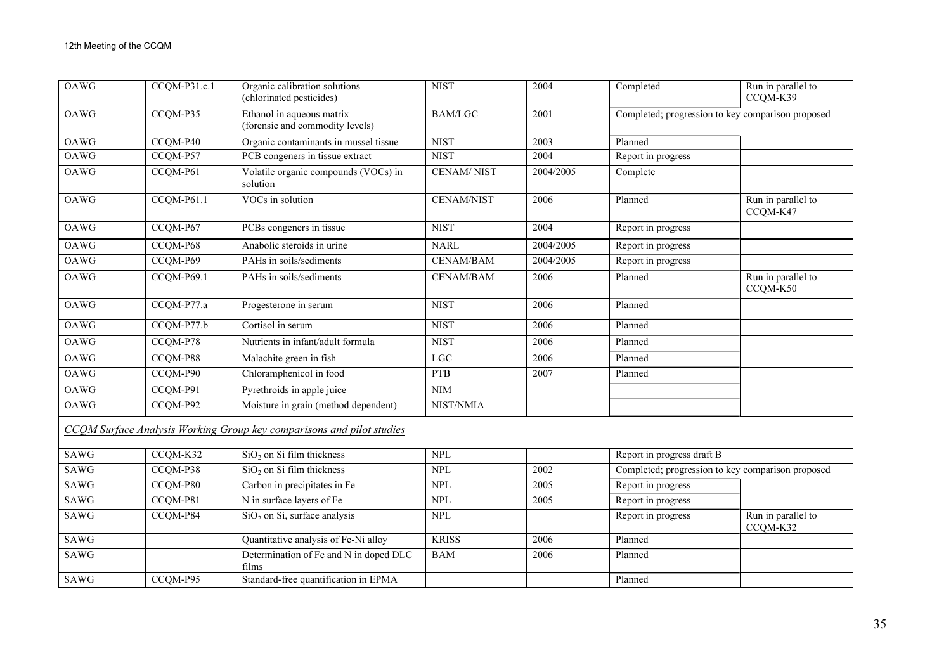| OAWG        | CCQM-P31.c.1 | Organic calibration solutions<br>(chlorinated pesticides)             | <b>NIST</b>       | 2004      | Completed                                         | Run in parallel to<br>CCQM-K39 |
|-------------|--------------|-----------------------------------------------------------------------|-------------------|-----------|---------------------------------------------------|--------------------------------|
| OAWG        | CCQM-P35     | Ethanol in aqueous matrix<br>(forensic and commodity levels)          | <b>BAM/LGC</b>    | 2001      | Completed; progression to key comparison proposed |                                |
| <b>OAWG</b> | CCQM-P40     | Organic contaminants in mussel tissue                                 | <b>NIST</b>       | 2003      | Planned                                           |                                |
| <b>OAWG</b> | CCQM-P57     | PCB congeners in tissue extract                                       | <b>NIST</b>       | 2004      | Report in progress                                |                                |
| OAWG        | CCQM-P61     | Volatile organic compounds (VOCs) in<br>solution                      | <b>CENAM/NIST</b> | 2004/2005 | Complete                                          |                                |
| <b>OAWG</b> | $CCQM-P61.1$ | VOCs in solution                                                      | <b>CENAM/NIST</b> | 2006      | Planned                                           | Run in parallel to<br>CCQM-K47 |
| OAWG        | CCQM-P67     | PCBs congeners in tissue                                              | <b>NIST</b>       | 2004      | Report in progress                                |                                |
| OAWG        | CCQM-P68     | Anabolic steroids in urine                                            | <b>NARL</b>       | 2004/2005 | Report in progress                                |                                |
| OAWG        | CCQM-P69     | PAHs in soils/sediments                                               | CENAM/BAM         | 2004/2005 | Report in progress                                |                                |
| OAWG        | CCQM-P69.1   | PAHs in soils/sediments                                               | <b>CENAM/BAM</b>  | 2006      | Planned                                           | Run in parallel to<br>CCQM-K50 |
| <b>OAWG</b> | CCQM-P77.a   | Progesterone in serum                                                 | <b>NIST</b>       | 2006      | Planned                                           |                                |
| <b>OAWG</b> | $CCQM-P77.b$ | Cortisol in serum                                                     | <b>NIST</b>       | 2006      | Planned                                           |                                |
| OAWG        | CCQM-P78     | Nutrients in infant/adult formula                                     | <b>NIST</b>       | 2006      | Planned                                           |                                |
| OAWG        | CCQM-P88     | Malachite green in fish                                               | LGC               | 2006      | Planned                                           |                                |
| OAWG        | CCQM-P90     | Chloramphenicol in food                                               | <b>PTB</b>        | 2007      | Planned                                           |                                |
| <b>OAWG</b> | CCQM-P91     | Pyrethroids in apple juice                                            | NIM               |           |                                                   |                                |
| OAWG        | CCQM-P92     | Moisture in grain (method dependent)                                  | NIST/NMIA         |           |                                                   |                                |
|             |              | CCOM Surface Analysis Working Group key comparisons and pilot studies |                   |           |                                                   |                                |
| SAWG        | CCOM-K32     | $SiO2$ on Si film thickness                                           | <b>NPL</b>        |           | Report in progress draft B                        |                                |
| SAWG        | CCQM-P38     | $SiO2$ on Si film thickness                                           | <b>NPL</b>        | 2002      | Completed; progression to key comparison proposed |                                |
| SAWG        | CCQM-P80     | Carbon in precipitates in Fe                                          | <b>NPL</b>        | 2005      | Report in progress                                |                                |
| SAWG        | CCQM-P81     | N in surface layers of Fe                                             | <b>NPL</b>        | 2005      | Report in progress                                |                                |
| SAWG        | CCQM-P84     | $SiO2$ on Si, surface analysis                                        | <b>NPL</b>        |           | Report in progress                                | Run in parallel to<br>CCQM-K32 |
| SAWG        |              | Quantitative analysis of Fe-Ni alloy                                  | <b>KRISS</b>      | 2006      | Planned                                           |                                |
| SAWG        |              | Determination of Fe and N in doped DLC<br>films                       | <b>BAM</b>        | 2006      | Planned                                           |                                |
| SAWG        | CCQM-P95     | Standard-free quantification in EPMA                                  |                   |           | Planned                                           |                                |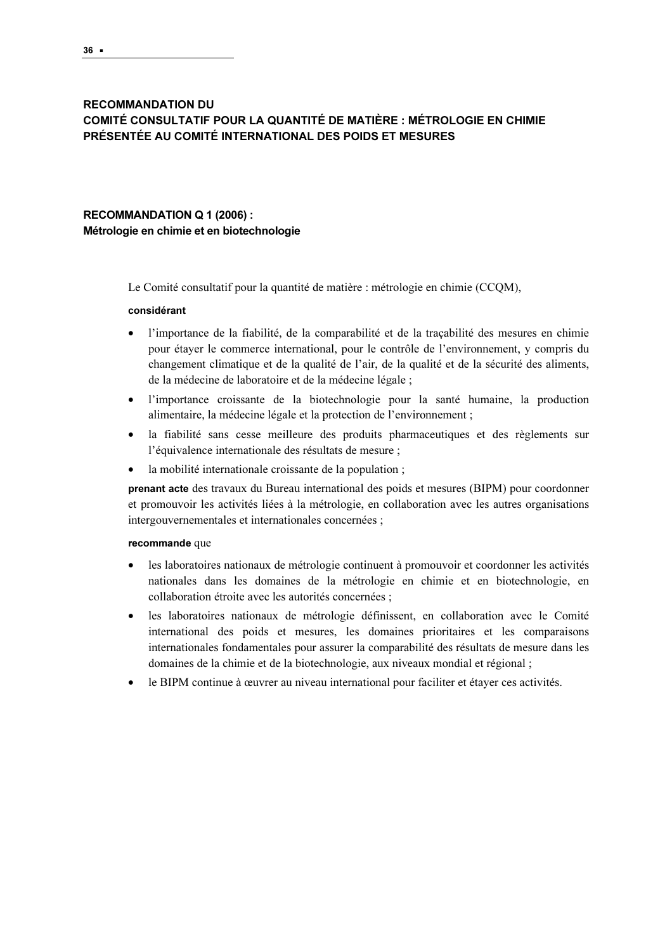## **RECOMMANDATION DU** COMITÉ CONSULTATIF POUR LA QUANTITÉ DE MATIÈRE : MÉTROLOGIE EN CHIMIE PRÉSENTÉE AU COMITÉ INTERNATIONAL DES POIDS ET MESURES PRÉSENTÉE AU COMITÉ INTERNATIONAL DES POIDS ET MESURES

# RECOMMANDATION Q 1 (2006) :<br>Métrologie en chimie et en biotechnologie Métrologie en chimie et en biotechnologie

Le Comité consultatif pour la quantité de matière : métrologie en chimie (CCQM),

#### considérant

- l'importance de la fiabilité, de la comparabilité et de la traçabilité des mesures en chimie pour étayer le commerce international, pour le contrôle de l'environnement, y compris du changement climatique et de la qualité de l'air, de la qualité et de la sécurité des aliments, de la médecine de laboratoire et de la médecine légale ;
- l'importance croissante de la biotechnologie pour la santé humaine, la production alimentaire, la médecine légale et la protection de l'environnement ;
- la fiabilité sans cesse meilleure des produits pharmaceutiques et des règlements sur l'équivalence internationale des résultats de mesure ;
- la mobilité internationale croissante de la population ;

prenant acte des travaux du Bureau international des poids et mesures (BIPM) pour coordonner et promouvoir les activités liées à la métrologie, en collaboration avec les autres organisations intergouvernementales et internationales concernées ;

#### recommande que

- les laboratoires nationaux de métrologie continuent à promouvoir et coordonner les activités nationales dans les domaines de la métrologie en chimie et en biotechnologie, en collaboration étroite avec les autorités concernées ;
- les laboratoires nationaux de métrologie définissent, en collaboration avec le Comité international des poids et mesures, les domaines prioritaires et les comparaisons internationales fondamentales pour assurer la comparabilité des résultats de mesure dans les domaines de la chimie et de la biotechnologie, aux niveaux mondial et régional ;
- le BIPM continue à œuvrer au niveau international pour faciliter et étayer ces activités.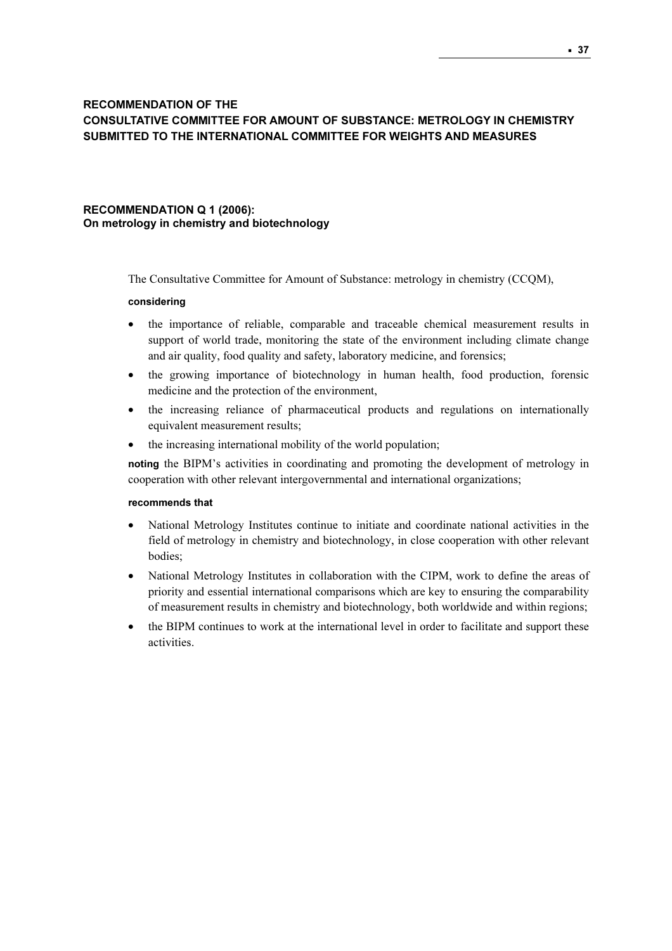## RECOMMENDATION OF THE CONSULTATIVE COMMITTEE FOR AMOUNT OF SUBSTANCE: METROLOGY IN CHEMISTRY SUBMITTED TO THE INTERNATIONAL COMMITTEE FOR WEIGHTS AND MEASURES

## RECOMMENDATION Q 1 (2006): On metrology in chemistry and biotechnology

The Consultative Committee for Amount of Substance: metrology in chemistry (CCQM),

#### considering

- the importance of reliable, comparable and traceable chemical measurement results in support of world trade, monitoring the state of the environment including climate change and air quality, food quality and safety, laboratory medicine, and forensics;
- the growing importance of biotechnology in human health, food production, forensic medicine and the protection of the environment,
- the increasing reliance of pharmaceutical products and regulations on internationally equivalent measurement results;
- the increasing international mobility of the world population;

noting the BIPM's activities in coordinating and promoting the development of metrology in cooperation with other relevant intergovernmental and international organizations;

#### recommends that

- National Metrology Institutes continue to initiate and coordinate national activities in the field of metrology in chemistry and biotechnology, in close cooperation with other relevant bodies;
- National Metrology Institutes in collaboration with the CIPM, work to define the areas of priority and essential international comparisons which are key to ensuring the comparability of measurement results in chemistry and biotechnology, both worldwide and within regions;
- the BIPM continues to work at the international level in order to facilitate and support these activities.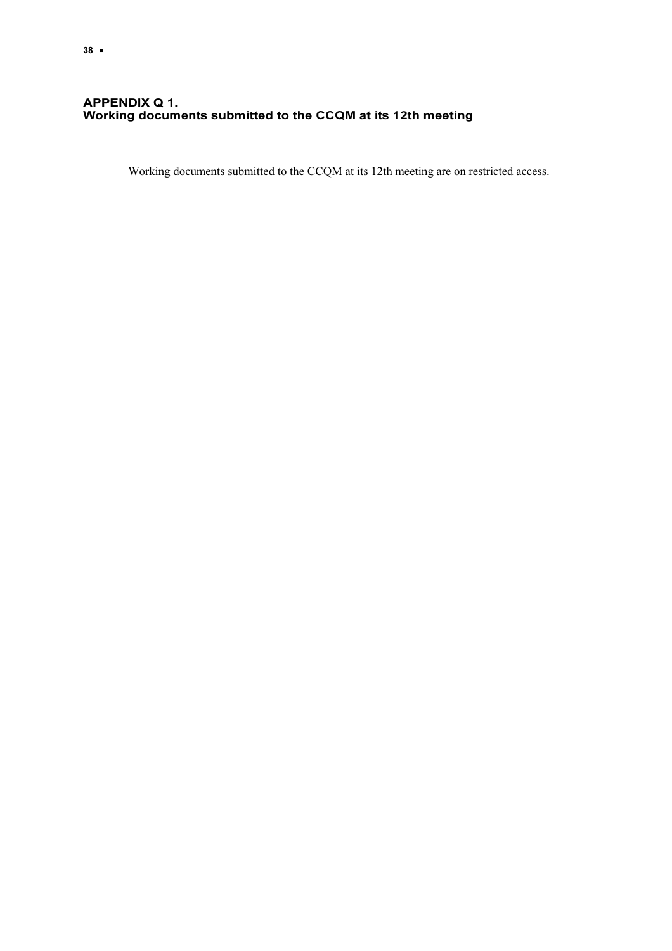## APPENDIX Q 1. Working documents submitted to the CCQM at its 12th meeting

Working documents submitted to the CCQM at its 12th meeting are on restricted access.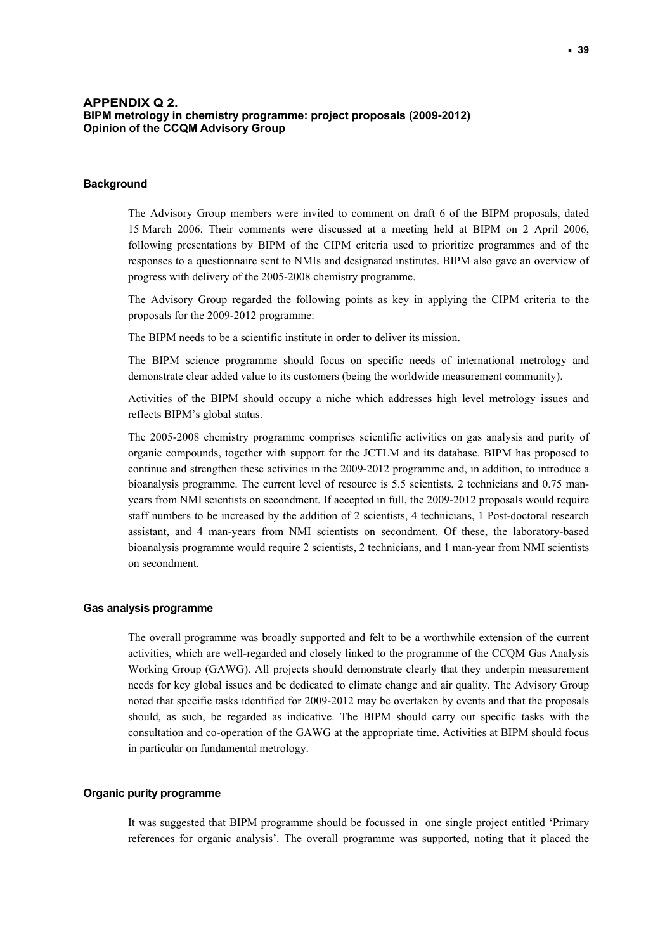#### **APPENDIX Q 2. BIPM metrology in chemistry programme: project proposals (2009-2012) Opinion of the CCQM Advisory Group**

#### **Background**

The Advisory Group members were invited to comment on draft 6 of the BIPM proposals, dated 15 March 2006. Their comments were discussed at a meeting held at BIPM on 2 April 2006, following presentations by BIPM of the CIPM criteria used to prioritize programmes and of the responses to a questionnaire sent to NMIs and designated institutes. BIPM also gave an overview of progress with delivery of the 2005-2008 chemistry programme.

The Advisory Group regarded the following points as key in applying the CIPM criteria to the proposals for the 2009-2012 programme:

The BIPM needs to be a scientific institute in order to deliver its mission.

The BIPM science programme should focus on specific needs of international metrology and demonstrate clear added value to its customers (being the worldwide measurement community).

Activities of the BIPM should occupy a niche which addresses high level metrology issues and reflects BIPM's global status.

The 2005-2008 chemistry programme comprises scientific activities on gas analysis and purity of organic compounds, together with support for the JCTLM and its database. BIPM has proposed to continue and strengthen these activities in the 2009-2012 programme and, in addition, to introduce a bioanalysis programme. The current level of resource is 5.5 scientists, 2 technicians and 0.75 manyears from NMI scientists on secondment. If accepted in full, the 2009-2012 proposals would require staff numbers to be increased by the addition of 2 scientists, 4 technicians, 1 Post-doctoral research assistant, and 4 man-years from NMI scientists on secondment. Of these, the laboratory-based bioanalysis programme would require 2 scientists, 2 technicians, and 1 man-year from NMI scientists on secondment.

#### **Gas analysis programme**

The overall programme was broadly supported and felt to be a worthwhile extension of the current activities, which are well-regarded and closely linked to the programme of the CCQM Gas Analysis Working Group (GAWG). All projects should demonstrate clearly that they underpin measurement needs for key global issues and be dedicated to climate change and air quality. The Advisory Group noted that specific tasks identified for 2009-2012 may be overtaken by events and that the proposals should, as such, be regarded as indicative. The BIPM should carry out specific tasks with the consultation and co-operation of the GAWG at the appropriate time. Activities at BIPM should focus in particular on fundamental metrology.

## **Organic purity programme**

It was suggested that BIPM programme should be focussed in one single project entitled 'Primary references for organic analysis'. The overall programme was supported, noting that it placed the